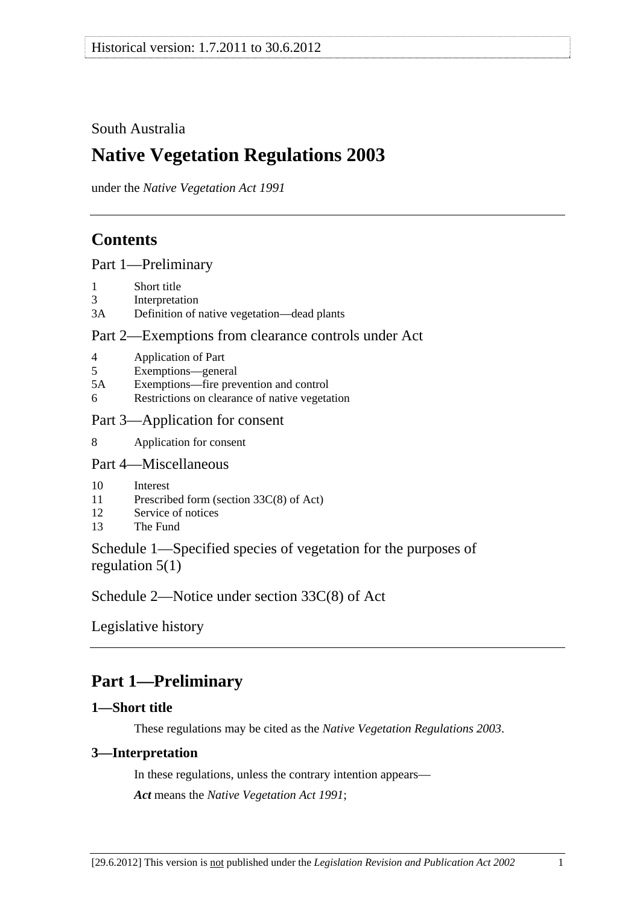## <span id="page-0-0"></span>South Australia

# **Native Vegetation Regulations 2003**

under the *Native Vegetation Act 1991*

## **Contents**

[Part 1—Preliminary](#page-0-0)

- [1 Short title](#page-0-0)
- [3 Interpretation](#page-0-0)
- [3A Definition of native vegetation—dead plants](#page-1-0)

## [Part 2—Exemptions from clearance controls under Act](#page-2-0)

- [4 Application of Part](#page-2-0)
- [5 Exemptions—general](#page-2-0)
- [5A Exemptions—fire prevention and control](#page-21-0)
- [6 Restrictions on clearance of native vegetation](#page-24-0)

## [Part 3—Application for consent](#page-24-0)

[8 Application for consent](#page-24-0) 

## [Part 4—Miscellaneous](#page-25-0)

- [10 Interest](#page-25-0)
- [11 Prescribed form \(section 33C\(8\) of Act\)](#page-25-0)
- [12 Service of notices](#page-25-0)
- [13 The Fund](#page-25-0)

Schedule 1—Specified species of vegetation for the purposes of regulation 5(1)

Schedule 2—Notice under section 33C(8) of Act

Legislative history

# **Part 1—Preliminary**

## **1—Short title**

These regulations may be cited as the *Native Vegetation Regulations 2003*.

## **3—Interpretation**

In these regulations, unless the contrary intention appears— *Act* means the *Native Vegetation Act 1991*;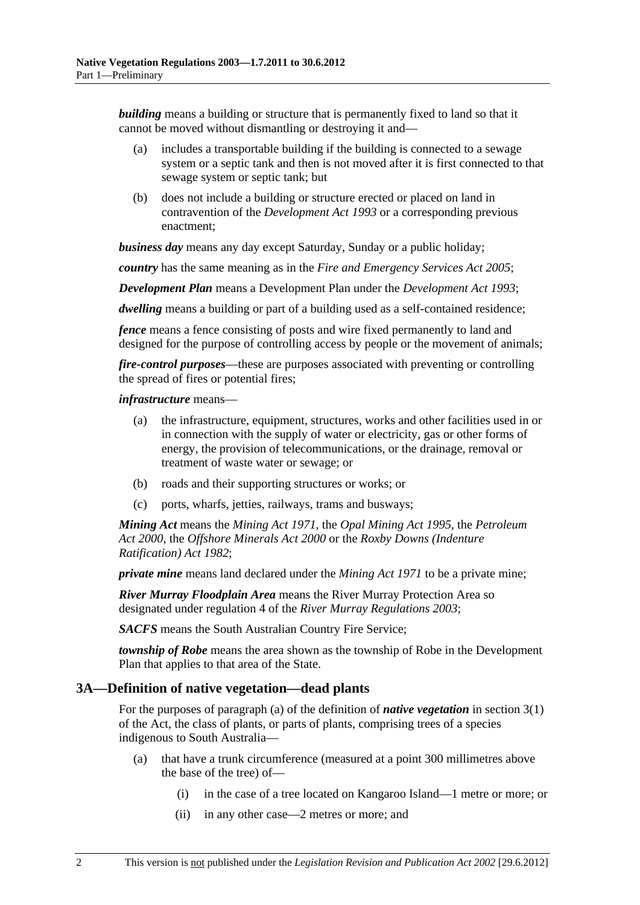<span id="page-1-0"></span>*building* means a building or structure that is permanently fixed to land so that it cannot be moved without dismantling or destroying it and—

- (a) includes a transportable building if the building is connected to a sewage system or a septic tank and then is not moved after it is first connected to that sewage system or septic tank; but
- (b) does not include a building or structure erected or placed on land in contravention of the *Development Act 1993* or a corresponding previous enactment;

*business day* means any day except Saturday, Sunday or a public holiday;

*country* has the same meaning as in the *Fire and Emergency Services Act 2005*;

*Development Plan* means a Development Plan under the *Development Act 1993*;

*dwelling* means a building or part of a building used as a self-contained residence;

*fence* means a fence consisting of posts and wire fixed permanently to land and designed for the purpose of controlling access by people or the movement of animals;

*fire-control purposes*—these are purposes associated with preventing or controlling the spread of fires or potential fires;

#### *infrastructure* means—

- (a) the infrastructure, equipment, structures, works and other facilities used in or in connection with the supply of water or electricity, gas or other forms of energy, the provision of telecommunications, or the drainage, removal or treatment of waste water or sewage; or
- (b) roads and their supporting structures or works; or
- (c) ports, wharfs, jetties, railways, trams and busways;

*Mining Act* means the *Mining Act 1971*, the *Opal Mining Act 1995*, the *Petroleum Act 2000*, the *Offshore Minerals Act 2000* or the *Roxby Downs (Indenture Ratification) Act 1982*;

*private mine* means land declared under the *Mining Act 1971* to be a private mine;

*River Murray Floodplain Area* means the River Murray Protection Area so designated under regulation 4 of the *River Murray Regulations 2003*;

*SACFS* means the South Australian Country Fire Service;

*township of Robe* means the area shown as the township of Robe in the Development Plan that applies to that area of the State.

#### **3A—Definition of native vegetation—dead plants**

For the purposes of paragraph (a) of the definition of *native vegetation* in section 3(1) of the Act, the class of plants, or parts of plants, comprising trees of a species indigenous to South Australia—

- (a) that have a trunk circumference (measured at a point 300 millimetres above the base of the tree) of—
	- (i) in the case of a tree located on Kangaroo Island—1 metre or more; or
	- (ii) in any other case—2 metres or more; and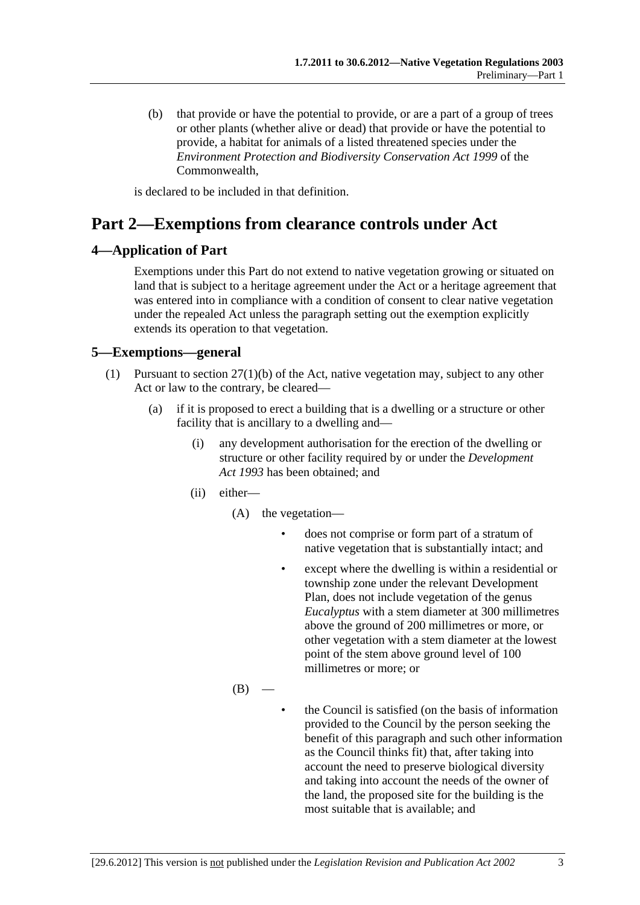<span id="page-2-0"></span> (b) that provide or have the potential to provide, or are a part of a group of trees or other plants (whether alive or dead) that provide or have the potential to provide, a habitat for animals of a listed threatened species under the *Environment Protection and Biodiversity Conservation Act 1999* of the Commonwealth,

is declared to be included in that definition.

## **Part 2—Exemptions from clearance controls under Act**

### **4—Application of Part**

Exemptions under this Part do not extend to native vegetation growing or situated on land that is subject to a heritage agreement under the Act or a heritage agreement that was entered into in compliance with a condition of consent to clear native vegetation under the repealed Act unless the paragraph setting out the exemption explicitly extends its operation to that vegetation.

### **5—Exemptions—general**

- (1) Pursuant to section 27(1)(b) of the Act, native vegetation may, subject to any other Act or law to the contrary, be cleared—
	- (a) if it is proposed to erect a building that is a dwelling or a structure or other facility that is ancillary to a dwelling and—
		- (i) any development authorisation for the erection of the dwelling or structure or other facility required by or under the *Development Act 1993* has been obtained; and
		- (ii) either—
			- (A) the vegetation
				- does not comprise or form part of a stratum of native vegetation that is substantially intact; and
				- except where the dwelling is within a residential or township zone under the relevant Development Plan, does not include vegetation of the genus *Eucalyptus* with a stem diameter at 300 millimetres above the ground of 200 millimetres or more, or other vegetation with a stem diameter at the lowest point of the stem above ground level of 100 millimetres or more; or
			- $(B)$
- the Council is satisfied (on the basis of information provided to the Council by the person seeking the benefit of this paragraph and such other information as the Council thinks fit) that, after taking into account the need to preserve biological diversity and taking into account the needs of the owner of the land, the proposed site for the building is the most suitable that is available; and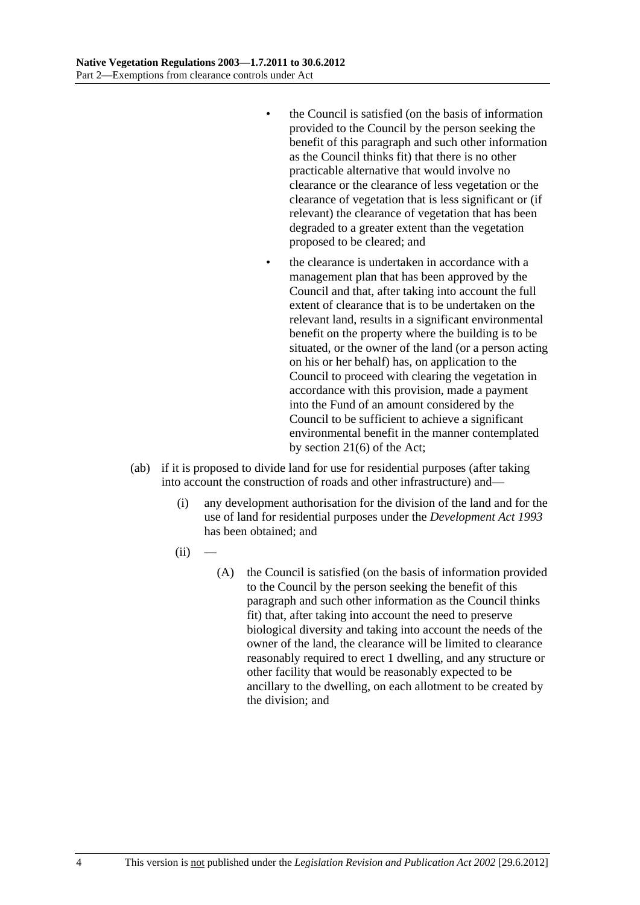- the Council is satisfied (on the basis of information provided to the Council by the person seeking the benefit of this paragraph and such other information as the Council thinks fit) that there is no other practicable alternative that would involve no clearance or the clearance of less vegetation or the clearance of vegetation that is less significant or (if relevant) the clearance of vegetation that has been degraded to a greater extent than the vegetation proposed to be cleared; and
- the clearance is undertaken in accordance with a management plan that has been approved by the Council and that, after taking into account the full extent of clearance that is to be undertaken on the relevant land, results in a significant environmental benefit on the property where the building is to be situated, or the owner of the land (or a person acting on his or her behalf) has, on application to the Council to proceed with clearing the vegetation in accordance with this provision, made a payment into the Fund of an amount considered by the Council to be sufficient to achieve a significant environmental benefit in the manner contemplated by section 21(6) of the Act;
- (ab) if it is proposed to divide land for use for residential purposes (after taking into account the construction of roads and other infrastructure) and—
	- (i) any development authorisation for the division of the land and for the use of land for residential purposes under the *Development Act 1993* has been obtained; and
	- $(ii)$ 
		- (A) the Council is satisfied (on the basis of information provided to the Council by the person seeking the benefit of this paragraph and such other information as the Council thinks fit) that, after taking into account the need to preserve biological diversity and taking into account the needs of the owner of the land, the clearance will be limited to clearance reasonably required to erect 1 dwelling, and any structure or other facility that would be reasonably expected to be ancillary to the dwelling, on each allotment to be created by the division; and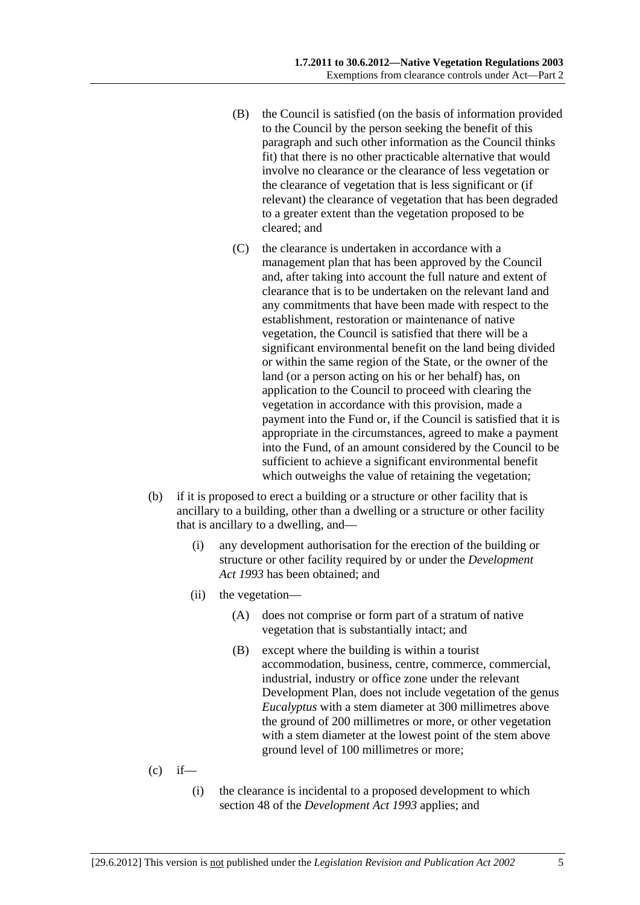- (B) the Council is satisfied (on the basis of information provided to the Council by the person seeking the benefit of this paragraph and such other information as the Council thinks fit) that there is no other practicable alternative that would involve no clearance or the clearance of less vegetation or the clearance of vegetation that is less significant or (if relevant) the clearance of vegetation that has been degraded to a greater extent than the vegetation proposed to be cleared; and
- (C) the clearance is undertaken in accordance with a management plan that has been approved by the Council and, after taking into account the full nature and extent of clearance that is to be undertaken on the relevant land and any commitments that have been made with respect to the establishment, restoration or maintenance of native vegetation, the Council is satisfied that there will be a significant environmental benefit on the land being divided or within the same region of the State, or the owner of the land (or a person acting on his or her behalf) has, on application to the Council to proceed with clearing the vegetation in accordance with this provision, made a payment into the Fund or, if the Council is satisfied that it is appropriate in the circumstances, agreed to make a payment into the Fund, of an amount considered by the Council to be sufficient to achieve a significant environmental benefit which outweighs the value of retaining the vegetation;
- (b) if it is proposed to erect a building or a structure or other facility that is ancillary to a building, other than a dwelling or a structure or other facility that is ancillary to a dwelling, and—
	- (i) any development authorisation for the erection of the building or structure or other facility required by or under the *Development Act 1993* has been obtained; and
	- (ii) the vegetation—
		- (A) does not comprise or form part of a stratum of native vegetation that is substantially intact; and
		- (B) except where the building is within a tourist accommodation, business, centre, commerce, commercial, industrial, industry or office zone under the relevant Development Plan, does not include vegetation of the genus *Eucalyptus* with a stem diameter at 300 millimetres above the ground of 200 millimetres or more, or other vegetation with a stem diameter at the lowest point of the stem above ground level of 100 millimetres or more;
- $(c)$  if—
	- (i) the clearance is incidental to a proposed development to which section 48 of the *Development Act 1993* applies; and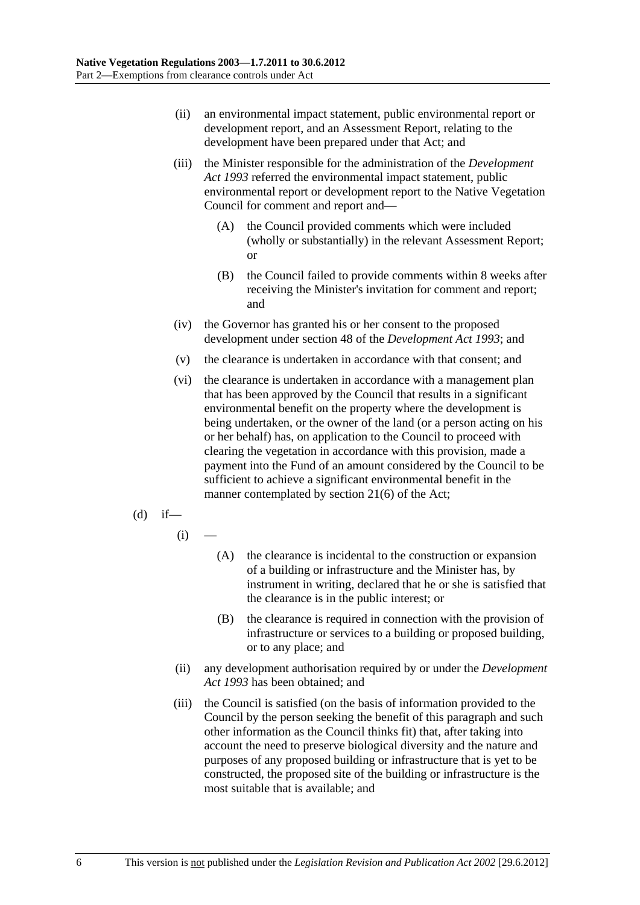- (ii) an environmental impact statement, public environmental report or development report, and an Assessment Report, relating to the development have been prepared under that Act; and
- (iii) the Minister responsible for the administration of the *Development Act 1993* referred the environmental impact statement, public environmental report or development report to the Native Vegetation Council for comment and report and—
	- (A) the Council provided comments which were included (wholly or substantially) in the relevant Assessment Report; or
	- (B) the Council failed to provide comments within 8 weeks after receiving the Minister's invitation for comment and report; and
- (iv) the Governor has granted his or her consent to the proposed development under section 48 of the *Development Act 1993*; and
- (v) the clearance is undertaken in accordance with that consent; and
- (vi) the clearance is undertaken in accordance with a management plan that has been approved by the Council that results in a significant environmental benefit on the property where the development is being undertaken, or the owner of the land (or a person acting on his or her behalf) has, on application to the Council to proceed with clearing the vegetation in accordance with this provision, made a payment into the Fund of an amount considered by the Council to be sufficient to achieve a significant environmental benefit in the manner contemplated by section 21(6) of the Act;
- $(d)$  if—
	- $(i)$
- (A) the clearance is incidental to the construction or expansion of a building or infrastructure and the Minister has, by instrument in writing, declared that he or she is satisfied that the clearance is in the public interest; or
- (B) the clearance is required in connection with the provision of infrastructure or services to a building or proposed building, or to any place; and
- (ii) any development authorisation required by or under the *Development Act 1993* has been obtained; and
- (iii) the Council is satisfied (on the basis of information provided to the Council by the person seeking the benefit of this paragraph and such other information as the Council thinks fit) that, after taking into account the need to preserve biological diversity and the nature and purposes of any proposed building or infrastructure that is yet to be constructed, the proposed site of the building or infrastructure is the most suitable that is available; and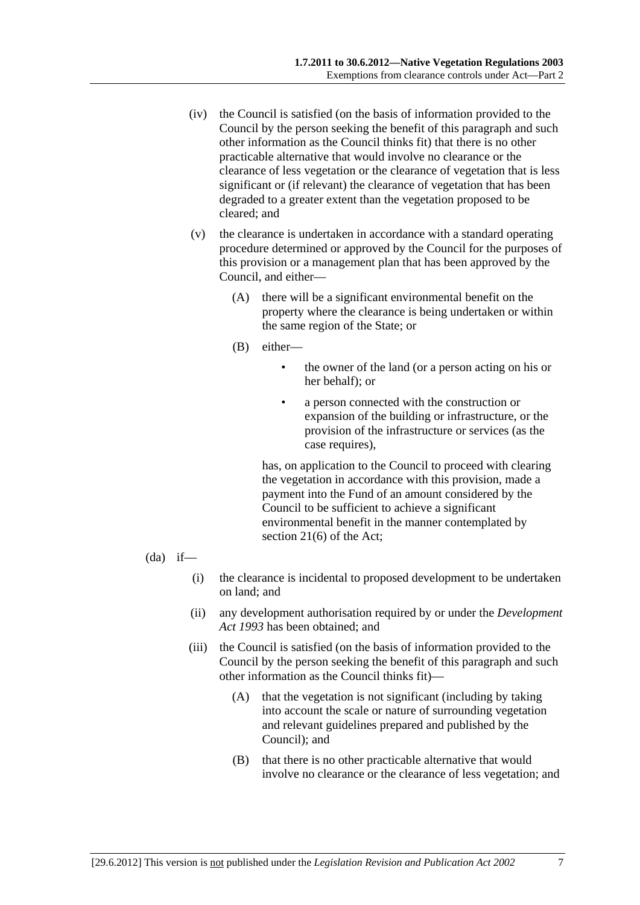- (iv) the Council is satisfied (on the basis of information provided to the Council by the person seeking the benefit of this paragraph and such other information as the Council thinks fit) that there is no other practicable alternative that would involve no clearance or the clearance of less vegetation or the clearance of vegetation that is less significant or (if relevant) the clearance of vegetation that has been degraded to a greater extent than the vegetation proposed to be cleared; and
- (v) the clearance is undertaken in accordance with a standard operating procedure determined or approved by the Council for the purposes of this provision or a management plan that has been approved by the Council, and either—
	- (A) there will be a significant environmental benefit on the property where the clearance is being undertaken or within the same region of the State; or
	- (B) either—
		- the owner of the land (or a person acting on his or her behalf); or
		- a person connected with the construction or expansion of the building or infrastructure, or the provision of the infrastructure or services (as the case requires),

has, on application to the Council to proceed with clearing the vegetation in accordance with this provision, made a payment into the Fund of an amount considered by the Council to be sufficient to achieve a significant environmental benefit in the manner contemplated by section 21(6) of the Act;

- $(da)$  if—
	- (i) the clearance is incidental to proposed development to be undertaken on land; and
	- (ii) any development authorisation required by or under the *Development Act 1993* has been obtained; and
	- (iii) the Council is satisfied (on the basis of information provided to the Council by the person seeking the benefit of this paragraph and such other information as the Council thinks fit)—
		- (A) that the vegetation is not significant (including by taking into account the scale or nature of surrounding vegetation and relevant guidelines prepared and published by the Council); and
		- (B) that there is no other practicable alternative that would involve no clearance or the clearance of less vegetation; and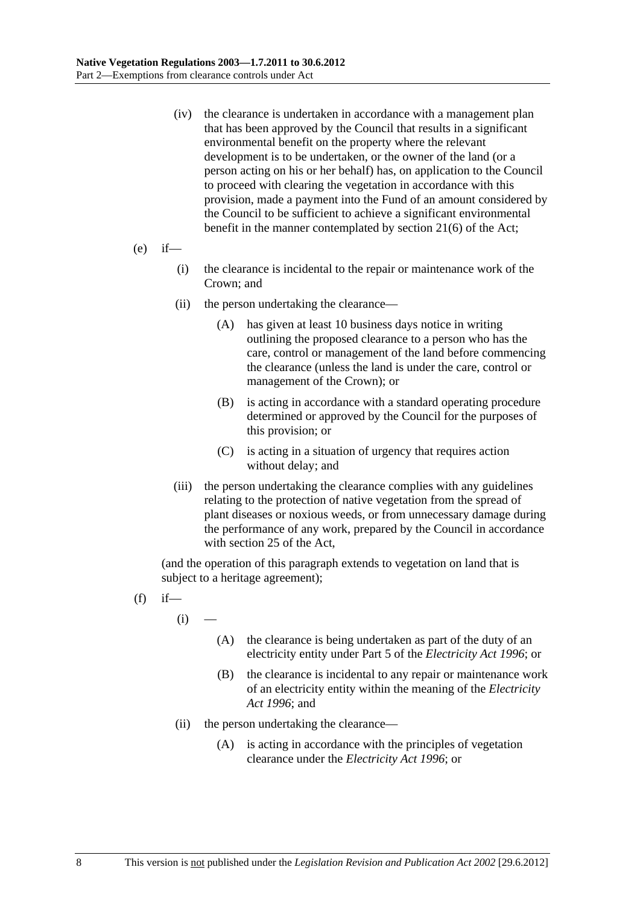- (iv) the clearance is undertaken in accordance with a management plan that has been approved by the Council that results in a significant environmental benefit on the property where the relevant development is to be undertaken, or the owner of the land (or a person acting on his or her behalf) has, on application to the Council to proceed with clearing the vegetation in accordance with this provision, made a payment into the Fund of an amount considered by the Council to be sufficient to achieve a significant environmental benefit in the manner contemplated by section 21(6) of the Act;
- $(e)$  if—
	- (i) the clearance is incidental to the repair or maintenance work of the Crown; and
	- (ii) the person undertaking the clearance—
		- (A) has given at least 10 business days notice in writing outlining the proposed clearance to a person who has the care, control or management of the land before commencing the clearance (unless the land is under the care, control or management of the Crown); or
		- (B) is acting in accordance with a standard operating procedure determined or approved by the Council for the purposes of this provision; or
		- (C) is acting in a situation of urgency that requires action without delay; and
	- (iii) the person undertaking the clearance complies with any guidelines relating to the protection of native vegetation from the spread of plant diseases or noxious weeds, or from unnecessary damage during the performance of any work, prepared by the Council in accordance with section 25 of the Act,

(and the operation of this paragraph extends to vegetation on land that is subject to a heritage agreement);

- $(f)$  if
	- $(i)$
- (A) the clearance is being undertaken as part of the duty of an electricity entity under Part 5 of the *Electricity Act 1996*; or
- (B) the clearance is incidental to any repair or maintenance work of an electricity entity within the meaning of the *Electricity Act 1996*; and
- (ii) the person undertaking the clearance—
	- (A) is acting in accordance with the principles of vegetation clearance under the *Electricity Act 1996*; or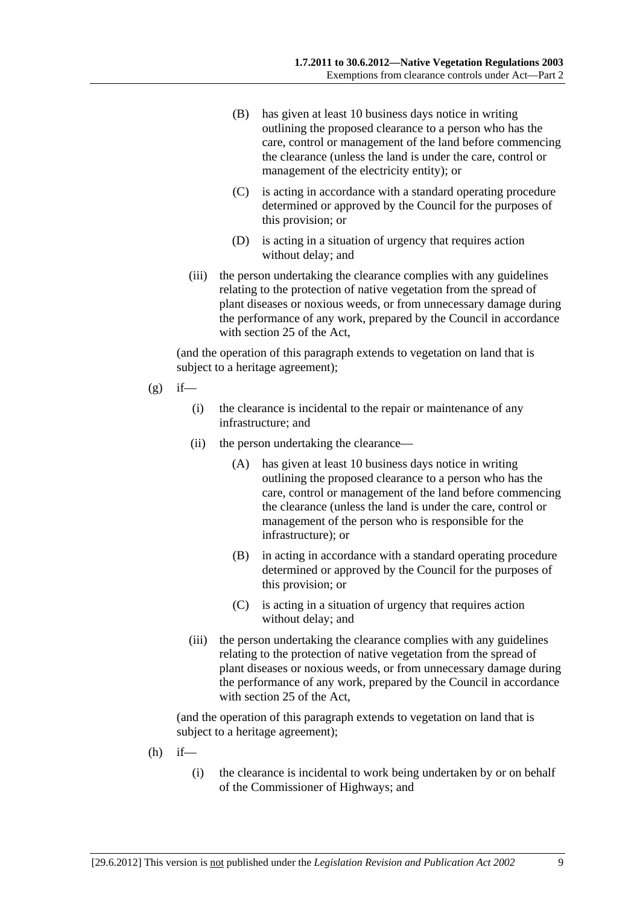- (B) has given at least 10 business days notice in writing outlining the proposed clearance to a person who has the care, control or management of the land before commencing the clearance (unless the land is under the care, control or management of the electricity entity); or
- (C) is acting in accordance with a standard operating procedure determined or approved by the Council for the purposes of this provision; or
- (D) is acting in a situation of urgency that requires action without delay; and
- (iii) the person undertaking the clearance complies with any guidelines relating to the protection of native vegetation from the spread of plant diseases or noxious weeds, or from unnecessary damage during the performance of any work, prepared by the Council in accordance with section 25 of the Act,

(and the operation of this paragraph extends to vegetation on land that is subject to a heritage agreement);

- $(g)$  if—
	- (i) the clearance is incidental to the repair or maintenance of any infrastructure; and
	- (ii) the person undertaking the clearance—
		- (A) has given at least 10 business days notice in writing outlining the proposed clearance to a person who has the care, control or management of the land before commencing the clearance (unless the land is under the care, control or management of the person who is responsible for the infrastructure); or
		- (B) in acting in accordance with a standard operating procedure determined or approved by the Council for the purposes of this provision; or
		- (C) is acting in a situation of urgency that requires action without delay; and
	- (iii) the person undertaking the clearance complies with any guidelines relating to the protection of native vegetation from the spread of plant diseases or noxious weeds, or from unnecessary damage during the performance of any work, prepared by the Council in accordance with section 25 of the Act,

(and the operation of this paragraph extends to vegetation on land that is subject to a heritage agreement);

- $(h)$  if—
	- (i) the clearance is incidental to work being undertaken by or on behalf of the Commissioner of Highways; and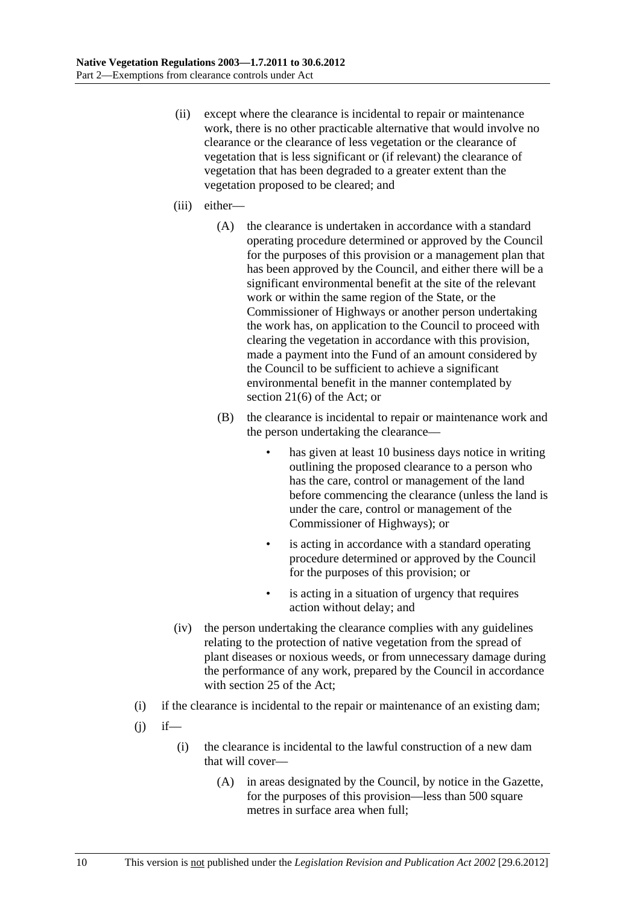- (ii) except where the clearance is incidental to repair or maintenance work, there is no other practicable alternative that would involve no clearance or the clearance of less vegetation or the clearance of vegetation that is less significant or (if relevant) the clearance of vegetation that has been degraded to a greater extent than the vegetation proposed to be cleared; and
- (iii) either—
	- (A) the clearance is undertaken in accordance with a standard operating procedure determined or approved by the Council for the purposes of this provision or a management plan that has been approved by the Council, and either there will be a significant environmental benefit at the site of the relevant work or within the same region of the State, or the Commissioner of Highways or another person undertaking the work has, on application to the Council to proceed with clearing the vegetation in accordance with this provision, made a payment into the Fund of an amount considered by the Council to be sufficient to achieve a significant environmental benefit in the manner contemplated by section 21(6) of the Act; or
	- (B) the clearance is incidental to repair or maintenance work and the person undertaking the clearance
		- has given at least 10 business days notice in writing outlining the proposed clearance to a person who has the care, control or management of the land before commencing the clearance (unless the land is under the care, control or management of the Commissioner of Highways); or
		- is acting in accordance with a standard operating procedure determined or approved by the Council for the purposes of this provision; or
		- is acting in a situation of urgency that requires action without delay; and
- (iv) the person undertaking the clearance complies with any guidelines relating to the protection of native vegetation from the spread of plant diseases or noxious weeds, or from unnecessary damage during the performance of any work, prepared by the Council in accordance with section 25 of the Act;
- (i) if the clearance is incidental to the repair or maintenance of an existing dam;
- $(i)$  if—
	- (i) the clearance is incidental to the lawful construction of a new dam that will cover—
		- (A) in areas designated by the Council, by notice in the Gazette, for the purposes of this provision—less than 500 square metres in surface area when full;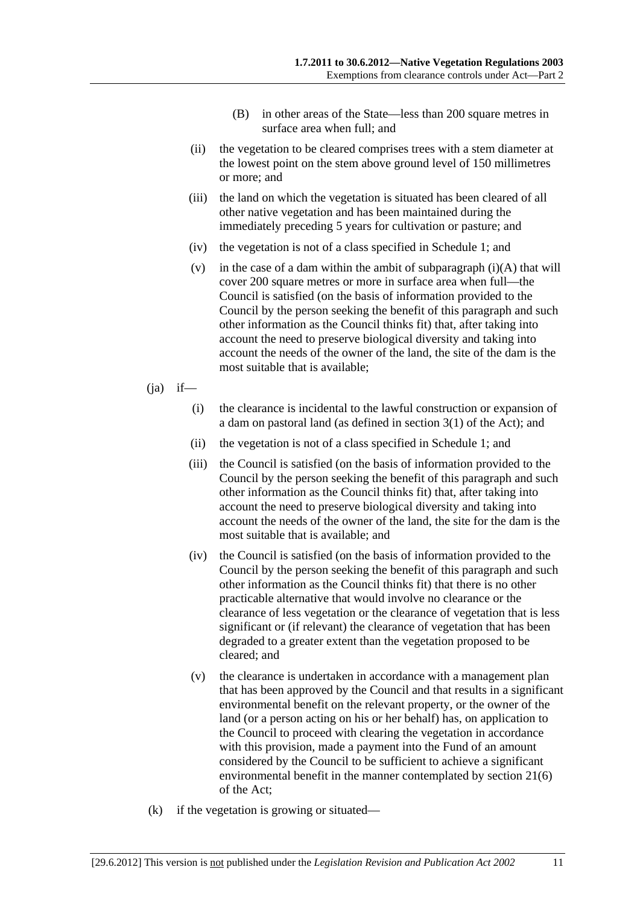- (B) in other areas of the State—less than 200 square metres in surface area when full; and
- (ii) the vegetation to be cleared comprises trees with a stem diameter at the lowest point on the stem above ground level of 150 millimetres or more; and
- (iii) the land on which the vegetation is situated has been cleared of all other native vegetation and has been maintained during the immediately preceding 5 years for cultivation or pasture; and
- (iv) the vegetation is not of a class specified in Schedule 1; and
- (v) in the case of a dam within the ambit of subparagraph  $(i)(A)$  that will cover 200 square metres or more in surface area when full—the Council is satisfied (on the basis of information provided to the Council by the person seeking the benefit of this paragraph and such other information as the Council thinks fit) that, after taking into account the need to preserve biological diversity and taking into account the needs of the owner of the land, the site of the dam is the most suitable that is available;
- $(ia)$  if—
	- (i) the clearance is incidental to the lawful construction or expansion of a dam on pastoral land (as defined in section 3(1) of the Act); and
	- (ii) the vegetation is not of a class specified in Schedule 1; and
	- (iii) the Council is satisfied (on the basis of information provided to the Council by the person seeking the benefit of this paragraph and such other information as the Council thinks fit) that, after taking into account the need to preserve biological diversity and taking into account the needs of the owner of the land, the site for the dam is the most suitable that is available; and
	- (iv) the Council is satisfied (on the basis of information provided to the Council by the person seeking the benefit of this paragraph and such other information as the Council thinks fit) that there is no other practicable alternative that would involve no clearance or the clearance of less vegetation or the clearance of vegetation that is less significant or (if relevant) the clearance of vegetation that has been degraded to a greater extent than the vegetation proposed to be cleared; and
	- (v) the clearance is undertaken in accordance with a management plan that has been approved by the Council and that results in a significant environmental benefit on the relevant property, or the owner of the land (or a person acting on his or her behalf) has, on application to the Council to proceed with clearing the vegetation in accordance with this provision, made a payment into the Fund of an amount considered by the Council to be sufficient to achieve a significant environmental benefit in the manner contemplated by section 21(6) of the Act;
- (k) if the vegetation is growing or situated—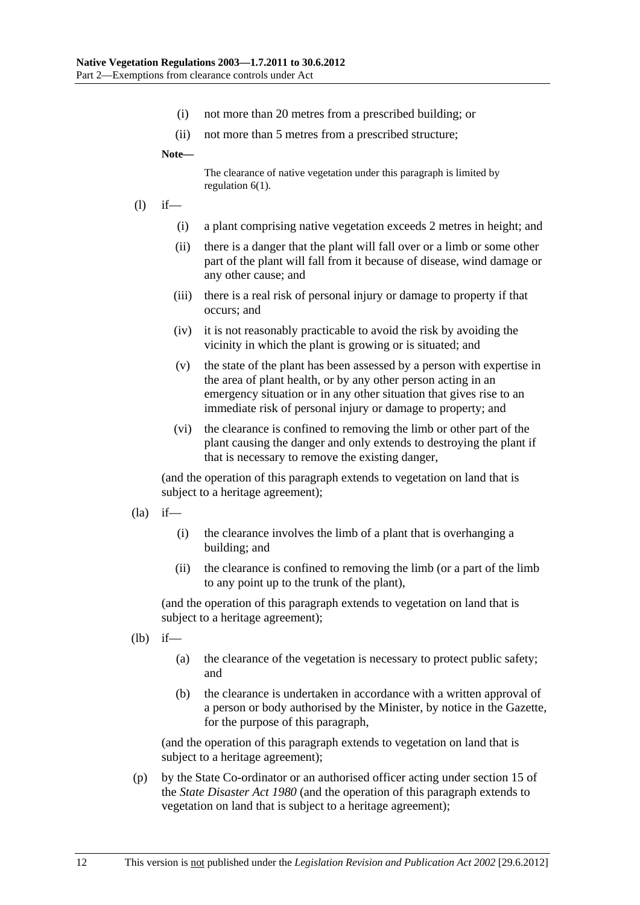- (i) not more than 20 metres from a prescribed building; or
- (ii) not more than 5 metres from a prescribed structure;

**Note—** 

The clearance of native vegetation under this paragraph is limited by regulation 6(1).

- (l) if—
	- (i) a plant comprising native vegetation exceeds 2 metres in height; and
	- (ii) there is a danger that the plant will fall over or a limb or some other part of the plant will fall from it because of disease, wind damage or any other cause; and
	- (iii) there is a real risk of personal injury or damage to property if that occurs; and
	- (iv) it is not reasonably practicable to avoid the risk by avoiding the vicinity in which the plant is growing or is situated; and
	- (v) the state of the plant has been assessed by a person with expertise in the area of plant health, or by any other person acting in an emergency situation or in any other situation that gives rise to an immediate risk of personal injury or damage to property; and
	- (vi) the clearance is confined to removing the limb or other part of the plant causing the danger and only extends to destroying the plant if that is necessary to remove the existing danger,

(and the operation of this paragraph extends to vegetation on land that is subject to a heritage agreement);

- $(la)$  if—
	- (i) the clearance involves the limb of a plant that is overhanging a building; and
	- (ii) the clearance is confined to removing the limb (or a part of the limb to any point up to the trunk of the plant),

(and the operation of this paragraph extends to vegetation on land that is subject to a heritage agreement);

- (lb) if—
	- (a) the clearance of the vegetation is necessary to protect public safety; and
	- (b) the clearance is undertaken in accordance with a written approval of a person or body authorised by the Minister, by notice in the Gazette, for the purpose of this paragraph,

(and the operation of this paragraph extends to vegetation on land that is subject to a heritage agreement);

 (p) by the State Co-ordinator or an authorised officer acting under section 15 of the *State Disaster Act 1980* (and the operation of this paragraph extends to vegetation on land that is subject to a heritage agreement);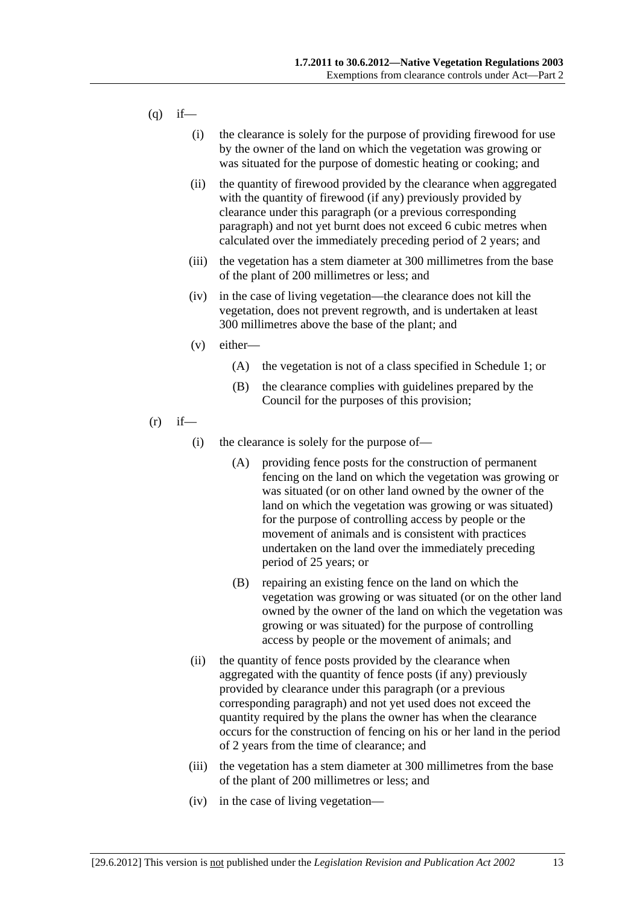- $(q)$  if—
	- (i) the clearance is solely for the purpose of providing firewood for use by the owner of the land on which the vegetation was growing or was situated for the purpose of domestic heating or cooking; and
	- (ii) the quantity of firewood provided by the clearance when aggregated with the quantity of firewood (if any) previously provided by clearance under this paragraph (or a previous corresponding paragraph) and not yet burnt does not exceed 6 cubic metres when calculated over the immediately preceding period of 2 years; and
	- (iii) the vegetation has a stem diameter at 300 millimetres from the base of the plant of 200 millimetres or less; and
	- (iv) in the case of living vegetation—the clearance does not kill the vegetation, does not prevent regrowth, and is undertaken at least 300 millimetres above the base of the plant; and
	- (v) either—
		- (A) the vegetation is not of a class specified in Schedule 1; or
		- (B) the clearance complies with guidelines prepared by the Council for the purposes of this provision;
- $(r)$  if—
	- (i) the clearance is solely for the purpose of—
		- (A) providing fence posts for the construction of permanent fencing on the land on which the vegetation was growing or was situated (or on other land owned by the owner of the land on which the vegetation was growing or was situated) for the purpose of controlling access by people or the movement of animals and is consistent with practices undertaken on the land over the immediately preceding period of 25 years; or
		- (B) repairing an existing fence on the land on which the vegetation was growing or was situated (or on the other land owned by the owner of the land on which the vegetation was growing or was situated) for the purpose of controlling access by people or the movement of animals; and
	- (ii) the quantity of fence posts provided by the clearance when aggregated with the quantity of fence posts (if any) previously provided by clearance under this paragraph (or a previous corresponding paragraph) and not yet used does not exceed the quantity required by the plans the owner has when the clearance occurs for the construction of fencing on his or her land in the period of 2 years from the time of clearance; and
	- (iii) the vegetation has a stem diameter at 300 millimetres from the base of the plant of 200 millimetres or less; and
	- (iv) in the case of living vegetation—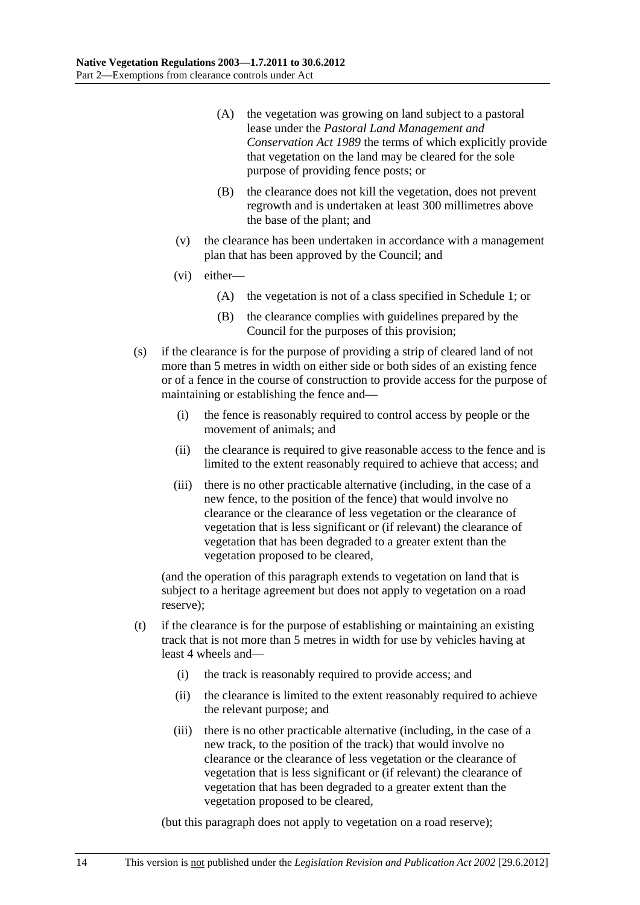- (A) the vegetation was growing on land subject to a pastoral lease under the *Pastoral Land Management and Conservation Act 1989* the terms of which explicitly provide that vegetation on the land may be cleared for the sole purpose of providing fence posts; or
- (B) the clearance does not kill the vegetation, does not prevent regrowth and is undertaken at least 300 millimetres above the base of the plant; and
- (v) the clearance has been undertaken in accordance with a management plan that has been approved by the Council; and
- (vi) either—
	- (A) the vegetation is not of a class specified in Schedule 1; or
	- (B) the clearance complies with guidelines prepared by the Council for the purposes of this provision;
- (s) if the clearance is for the purpose of providing a strip of cleared land of not more than 5 metres in width on either side or both sides of an existing fence or of a fence in the course of construction to provide access for the purpose of maintaining or establishing the fence and—
	- (i) the fence is reasonably required to control access by people or the movement of animals; and
	- (ii) the clearance is required to give reasonable access to the fence and is limited to the extent reasonably required to achieve that access; and
	- (iii) there is no other practicable alternative (including, in the case of a new fence, to the position of the fence) that would involve no clearance or the clearance of less vegetation or the clearance of vegetation that is less significant or (if relevant) the clearance of vegetation that has been degraded to a greater extent than the vegetation proposed to be cleared,

(and the operation of this paragraph extends to vegetation on land that is subject to a heritage agreement but does not apply to vegetation on a road reserve);

- (t) if the clearance is for the purpose of establishing or maintaining an existing track that is not more than 5 metres in width for use by vehicles having at least 4 wheels and—
	- (i) the track is reasonably required to provide access; and
	- (ii) the clearance is limited to the extent reasonably required to achieve the relevant purpose; and
	- (iii) there is no other practicable alternative (including, in the case of a new track, to the position of the track) that would involve no clearance or the clearance of less vegetation or the clearance of vegetation that is less significant or (if relevant) the clearance of vegetation that has been degraded to a greater extent than the vegetation proposed to be cleared,

(but this paragraph does not apply to vegetation on a road reserve);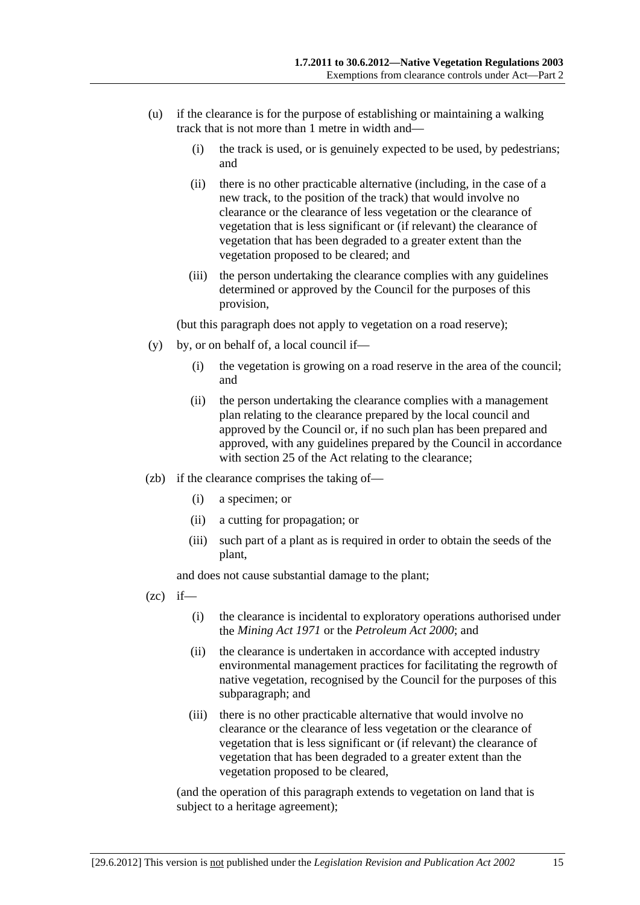- (u) if the clearance is for the purpose of establishing or maintaining a walking track that is not more than 1 metre in width and—
	- (i) the track is used, or is genuinely expected to be used, by pedestrians; and
	- (ii) there is no other practicable alternative (including, in the case of a new track, to the position of the track) that would involve no clearance or the clearance of less vegetation or the clearance of vegetation that is less significant or (if relevant) the clearance of vegetation that has been degraded to a greater extent than the vegetation proposed to be cleared; and
	- (iii) the person undertaking the clearance complies with any guidelines determined or approved by the Council for the purposes of this provision,

(but this paragraph does not apply to vegetation on a road reserve);

- (y) by, or on behalf of, a local council if—
	- (i) the vegetation is growing on a road reserve in the area of the council; and
	- (ii) the person undertaking the clearance complies with a management plan relating to the clearance prepared by the local council and approved by the Council or, if no such plan has been prepared and approved, with any guidelines prepared by the Council in accordance with section 25 of the Act relating to the clearance;
- (zb) if the clearance comprises the taking of—
	- (i) a specimen; or
	- (ii) a cutting for propagation; or
	- (iii) such part of a plant as is required in order to obtain the seeds of the plant,

and does not cause substantial damage to the plant;

- $(zc)$  if—
	- (i) the clearance is incidental to exploratory operations authorised under the *Mining Act 1971* or the *Petroleum Act 2000*; and
	- (ii) the clearance is undertaken in accordance with accepted industry environmental management practices for facilitating the regrowth of native vegetation, recognised by the Council for the purposes of this subparagraph; and
	- (iii) there is no other practicable alternative that would involve no clearance or the clearance of less vegetation or the clearance of vegetation that is less significant or (if relevant) the clearance of vegetation that has been degraded to a greater extent than the vegetation proposed to be cleared,

(and the operation of this paragraph extends to vegetation on land that is subject to a heritage agreement);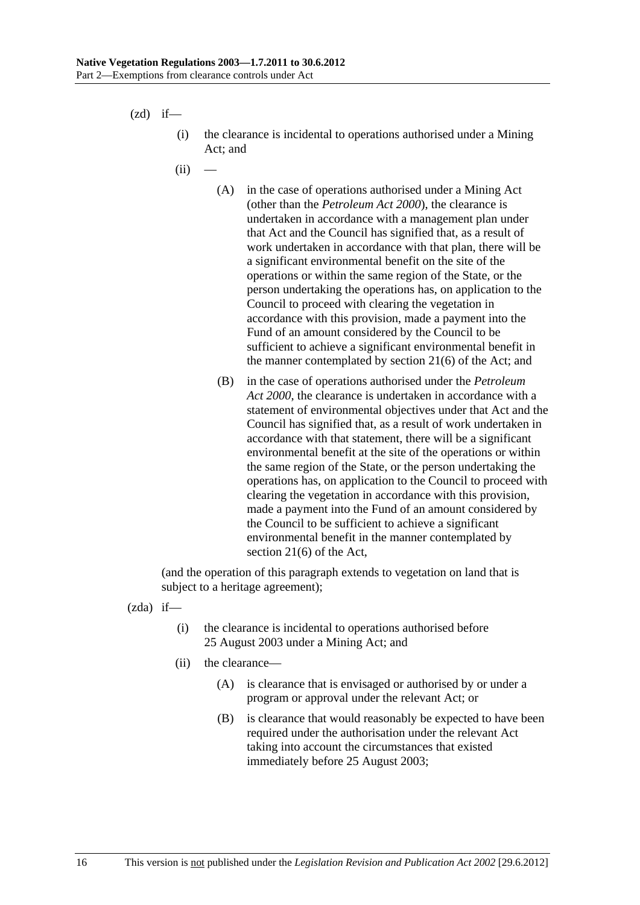$(zd)$  if—

- (i) the clearance is incidental to operations authorised under a Mining Act; and
- $(ii)$ 
	- (A) in the case of operations authorised under a Mining Act (other than the *Petroleum Act 2000*), the clearance is undertaken in accordance with a management plan under that Act and the Council has signified that, as a result of work undertaken in accordance with that plan, there will be a significant environmental benefit on the site of the operations or within the same region of the State, or the person undertaking the operations has, on application to the Council to proceed with clearing the vegetation in accordance with this provision, made a payment into the Fund of an amount considered by the Council to be sufficient to achieve a significant environmental benefit in the manner contemplated by section 21(6) of the Act; and
	- (B) in the case of operations authorised under the *Petroleum Act 2000*, the clearance is undertaken in accordance with a statement of environmental objectives under that Act and the Council has signified that, as a result of work undertaken in accordance with that statement, there will be a significant environmental benefit at the site of the operations or within the same region of the State, or the person undertaking the operations has, on application to the Council to proceed with clearing the vegetation in accordance with this provision, made a payment into the Fund of an amount considered by the Council to be sufficient to achieve a significant environmental benefit in the manner contemplated by section 21(6) of the Act,

(and the operation of this paragraph extends to vegetation on land that is subject to a heritage agreement);

(zda) if—

- (i) the clearance is incidental to operations authorised before 25 August 2003 under a Mining Act; and
- (ii) the clearance—
	- (A) is clearance that is envisaged or authorised by or under a program or approval under the relevant Act; or
	- (B) is clearance that would reasonably be expected to have been required under the authorisation under the relevant Act taking into account the circumstances that existed immediately before 25 August 2003;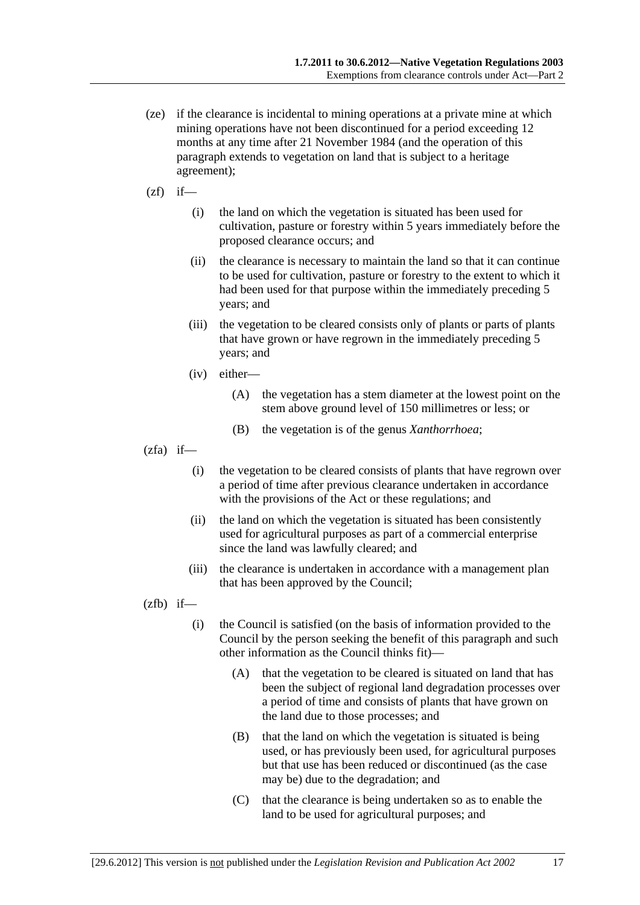- (ze) if the clearance is incidental to mining operations at a private mine at which mining operations have not been discontinued for a period exceeding 12 months at any time after 21 November 1984 (and the operation of this paragraph extends to vegetation on land that is subject to a heritage agreement);
- $(zf)$  if—
	- (i) the land on which the vegetation is situated has been used for cultivation, pasture or forestry within 5 years immediately before the proposed clearance occurs; and
	- (ii) the clearance is necessary to maintain the land so that it can continue to be used for cultivation, pasture or forestry to the extent to which it had been used for that purpose within the immediately preceding 5 years; and
	- (iii) the vegetation to be cleared consists only of plants or parts of plants that have grown or have regrown in the immediately preceding 5 years; and
	- (iv) either—
		- (A) the vegetation has a stem diameter at the lowest point on the stem above ground level of 150 millimetres or less; or
		- (B) the vegetation is of the genus *Xanthorrhoea*;
- $(zfa)$  if—
	- (i) the vegetation to be cleared consists of plants that have regrown over a period of time after previous clearance undertaken in accordance with the provisions of the Act or these regulations; and
	- (ii) the land on which the vegetation is situated has been consistently used for agricultural purposes as part of a commercial enterprise since the land was lawfully cleared; and
	- (iii) the clearance is undertaken in accordance with a management plan that has been approved by the Council;

 $(zfb)$  if—

- (i) the Council is satisfied (on the basis of information provided to the Council by the person seeking the benefit of this paragraph and such other information as the Council thinks fit)—
	- (A) that the vegetation to be cleared is situated on land that has been the subject of regional land degradation processes over a period of time and consists of plants that have grown on the land due to those processes; and
	- (B) that the land on which the vegetation is situated is being used, or has previously been used, for agricultural purposes but that use has been reduced or discontinued (as the case may be) due to the degradation; and
	- (C) that the clearance is being undertaken so as to enable the land to be used for agricultural purposes; and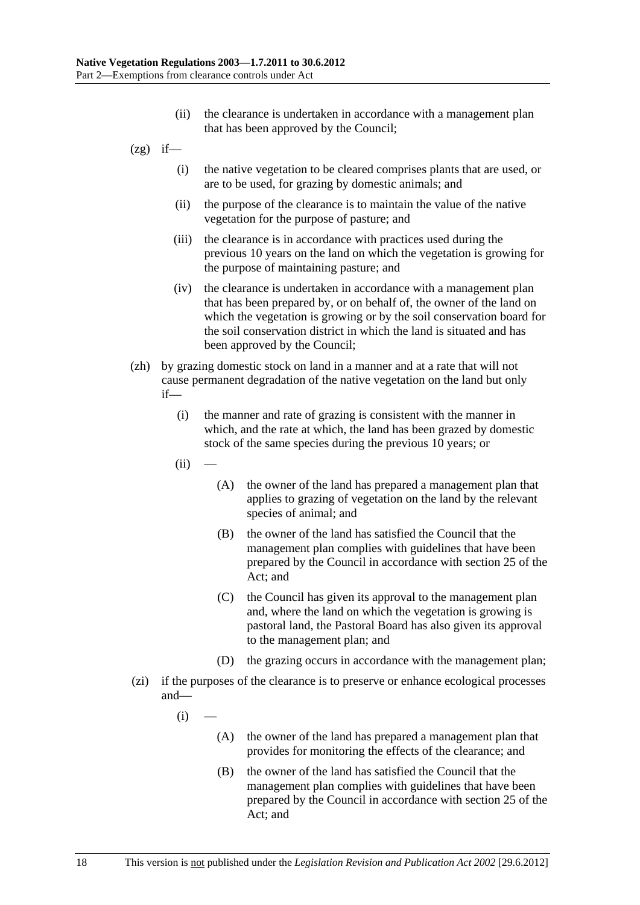- (ii) the clearance is undertaken in accordance with a management plan that has been approved by the Council;
- $(2g)$  if—
	- (i) the native vegetation to be cleared comprises plants that are used, or are to be used, for grazing by domestic animals; and
	- (ii) the purpose of the clearance is to maintain the value of the native vegetation for the purpose of pasture; and
	- (iii) the clearance is in accordance with practices used during the previous 10 years on the land on which the vegetation is growing for the purpose of maintaining pasture; and
	- (iv) the clearance is undertaken in accordance with a management plan that has been prepared by, or on behalf of, the owner of the land on which the vegetation is growing or by the soil conservation board for the soil conservation district in which the land is situated and has been approved by the Council;
- (zh) by grazing domestic stock on land in a manner and at a rate that will not cause permanent degradation of the native vegetation on the land but only if—
	- (i) the manner and rate of grazing is consistent with the manner in which, and the rate at which, the land has been grazed by domestic stock of the same species during the previous 10 years; or
	- $(ii)$
- (A) the owner of the land has prepared a management plan that applies to grazing of vegetation on the land by the relevant species of animal; and
- (B) the owner of the land has satisfied the Council that the management plan complies with guidelines that have been prepared by the Council in accordance with section 25 of the Act; and
- (C) the Council has given its approval to the management plan and, where the land on which the vegetation is growing is pastoral land, the Pastoral Board has also given its approval to the management plan; and
- (D) the grazing occurs in accordance with the management plan;
- (zi) if the purposes of the clearance is to preserve or enhance ecological processes and—
	- $(i)$ 
		- (A) the owner of the land has prepared a management plan that provides for monitoring the effects of the clearance; and
		- (B) the owner of the land has satisfied the Council that the management plan complies with guidelines that have been prepared by the Council in accordance with section 25 of the Act; and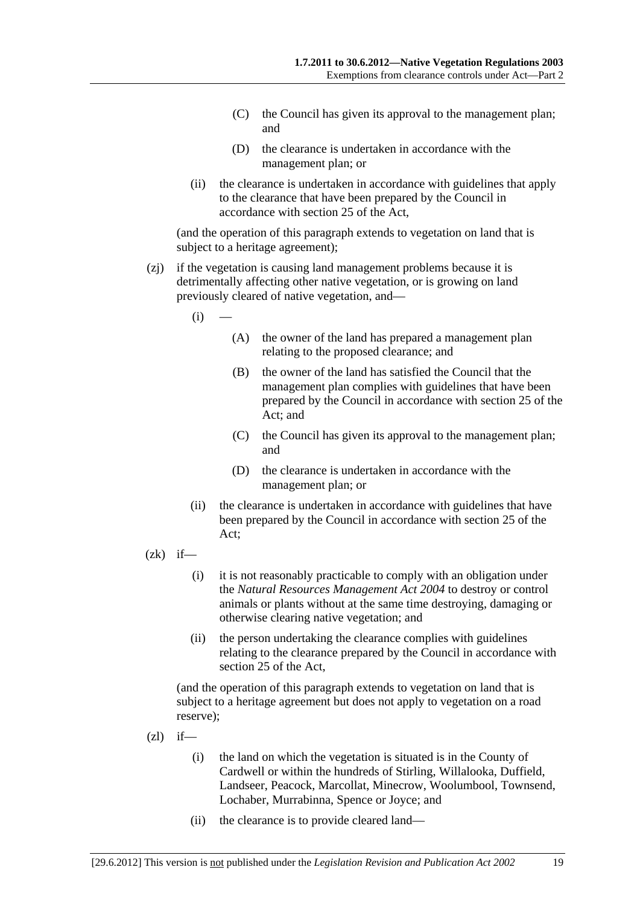- (C) the Council has given its approval to the management plan; and
- (D) the clearance is undertaken in accordance with the management plan; or
- (ii) the clearance is undertaken in accordance with guidelines that apply to the clearance that have been prepared by the Council in accordance with section 25 of the Act,

(and the operation of this paragraph extends to vegetation on land that is subject to a heritage agreement);

- (zj) if the vegetation is causing land management problems because it is detrimentally affecting other native vegetation, or is growing on land previously cleared of native vegetation, and—
	- $(i)$
- (A) the owner of the land has prepared a management plan relating to the proposed clearance; and
- (B) the owner of the land has satisfied the Council that the management plan complies with guidelines that have been prepared by the Council in accordance with section 25 of the Act; and
- (C) the Council has given its approval to the management plan; and
- (D) the clearance is undertaken in accordance with the management plan; or
- (ii) the clearance is undertaken in accordance with guidelines that have been prepared by the Council in accordance with section 25 of the Act;
- $(zk)$  if—
	- (i) it is not reasonably practicable to comply with an obligation under the *Natural Resources Management Act 2004* to destroy or control animals or plants without at the same time destroying, damaging or otherwise clearing native vegetation; and
	- (ii) the person undertaking the clearance complies with guidelines relating to the clearance prepared by the Council in accordance with section 25 of the Act,

(and the operation of this paragraph extends to vegetation on land that is subject to a heritage agreement but does not apply to vegetation on a road reserve);

- $(zl)$  if—
	- (i) the land on which the vegetation is situated is in the County of Cardwell or within the hundreds of Stirling, Willalooka, Duffield, Landseer, Peacock, Marcollat, Minecrow, Woolumbool, Townsend, Lochaber, Murrabinna, Spence or Joyce; and
	- (ii) the clearance is to provide cleared land—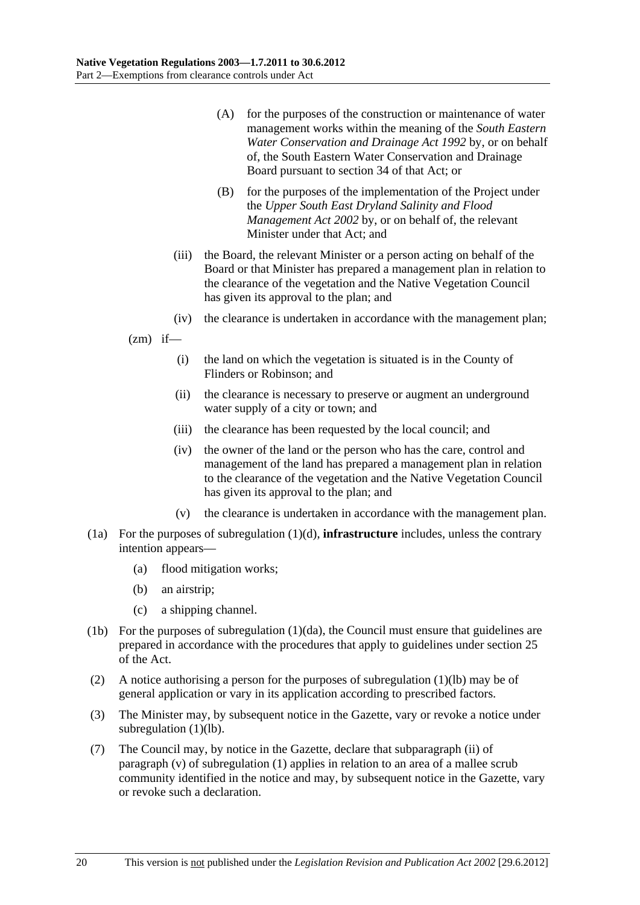- (A) for the purposes of the construction or maintenance of water management works within the meaning of the *South Eastern Water Conservation and Drainage Act 1992* by, or on behalf of, the South Eastern Water Conservation and Drainage Board pursuant to section 34 of that Act; or
- (B) for the purposes of the implementation of the Project under the *Upper South East Dryland Salinity and Flood Management Act 2002* by, or on behalf of, the relevant Minister under that Act; and
- (iii) the Board, the relevant Minister or a person acting on behalf of the Board or that Minister has prepared a management plan in relation to the clearance of the vegetation and the Native Vegetation Council has given its approval to the plan; and
- (iv) the clearance is undertaken in accordance with the management plan;

 $(zm)$  if—

- (i) the land on which the vegetation is situated is in the County of Flinders or Robinson; and
- (ii) the clearance is necessary to preserve or augment an underground water supply of a city or town; and
- (iii) the clearance has been requested by the local council; and
- (iv) the owner of the land or the person who has the care, control and management of the land has prepared a management plan in relation to the clearance of the vegetation and the Native Vegetation Council has given its approval to the plan; and
- (v) the clearance is undertaken in accordance with the management plan.
- (1a) For the purposes of subregulation (1)(d), **infrastructure** includes, unless the contrary intention appears—
	- (a) flood mitigation works;
	- (b) an airstrip;
	- (c) a shipping channel.
- (1b) For the purposes of subregulation (1)(da), the Council must ensure that guidelines are prepared in accordance with the procedures that apply to guidelines under section 25 of the Act.
- (2) A notice authorising a person for the purposes of subregulation (1)(lb) may be of general application or vary in its application according to prescribed factors.
- (3) The Minister may, by subsequent notice in the Gazette, vary or revoke a notice under subregulation (1)(lb).
- (7) The Council may, by notice in the Gazette, declare that subparagraph (ii) of paragraph (v) of subregulation (1) applies in relation to an area of a mallee scrub community identified in the notice and may, by subsequent notice in the Gazette, vary or revoke such a declaration.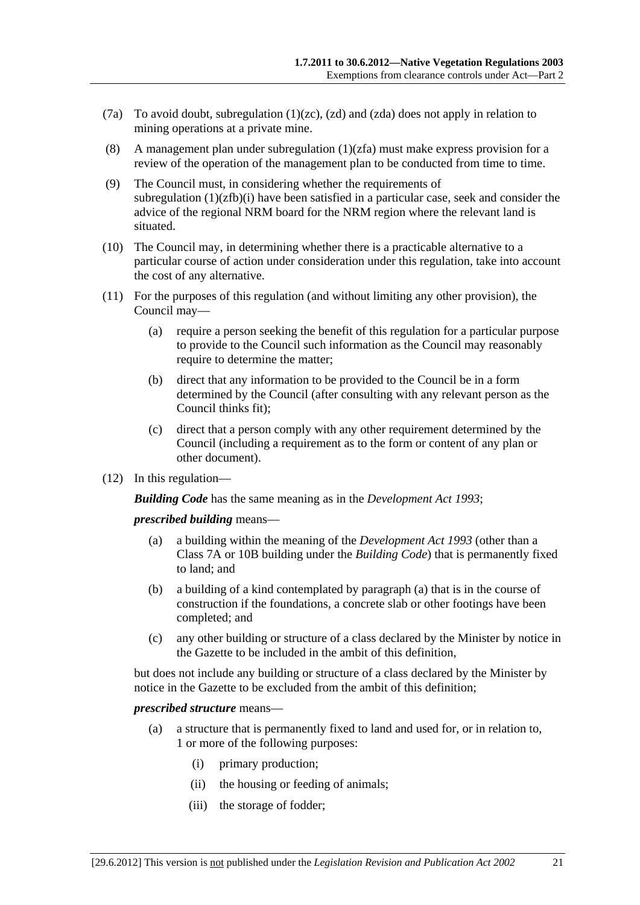- (7a) To avoid doubt, subregulation (1)(zc), (zd) and (zda) does not apply in relation to mining operations at a private mine.
- (8) A management plan under subregulation  $(1)(zfa)$  must make express provision for a review of the operation of the management plan to be conducted from time to time.
- (9) The Council must, in considering whether the requirements of subregulation  $(1)(zfb)(i)$  have been satisfied in a particular case, seek and consider the advice of the regional NRM board for the NRM region where the relevant land is situated.
- (10) The Council may, in determining whether there is a practicable alternative to a particular course of action under consideration under this regulation, take into account the cost of any alternative.
- (11) For the purposes of this regulation (and without limiting any other provision), the Council may—
	- (a) require a person seeking the benefit of this regulation for a particular purpose to provide to the Council such information as the Council may reasonably require to determine the matter;
	- (b) direct that any information to be provided to the Council be in a form determined by the Council (after consulting with any relevant person as the Council thinks fit);
	- (c) direct that a person comply with any other requirement determined by the Council (including a requirement as to the form or content of any plan or other document).
- (12) In this regulation—

*Building Code* has the same meaning as in the *Development Act 1993*;

*prescribed building* means—

- (a) a building within the meaning of the *Development Act 1993* (other than a Class 7A or 10B building under the *Building Code*) that is permanently fixed to land; and
- (b) a building of a kind contemplated by paragraph (a) that is in the course of construction if the foundations, a concrete slab or other footings have been completed; and
- (c) any other building or structure of a class declared by the Minister by notice in the Gazette to be included in the ambit of this definition,

but does not include any building or structure of a class declared by the Minister by notice in the Gazette to be excluded from the ambit of this definition;

#### *prescribed structure* means—

- (a) a structure that is permanently fixed to land and used for, or in relation to, 1 or more of the following purposes:
	- (i) primary production;
	- (ii) the housing or feeding of animals;
	- (iii) the storage of fodder;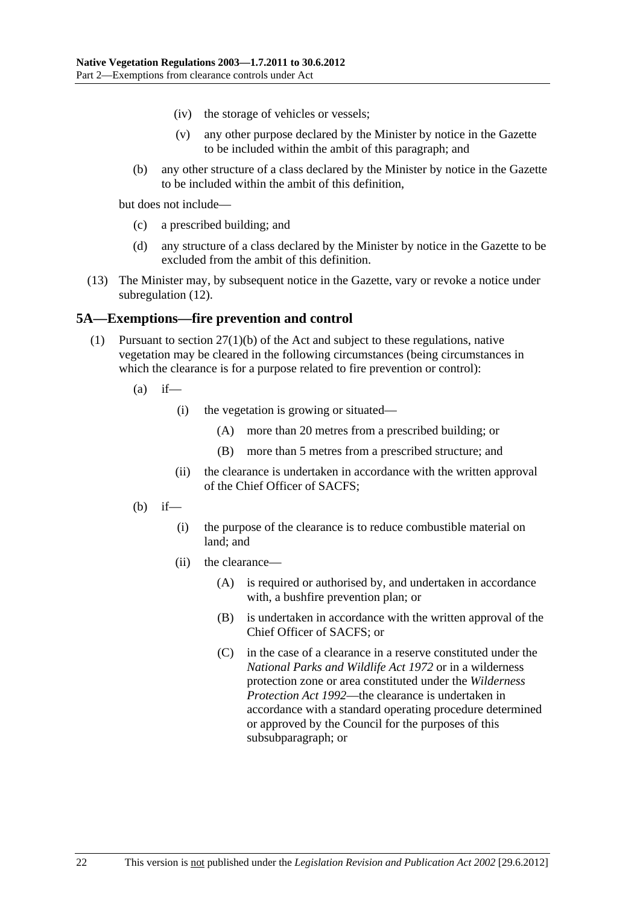- <span id="page-21-0"></span>(iv) the storage of vehicles or vessels;
- (v) any other purpose declared by the Minister by notice in the Gazette to be included within the ambit of this paragraph; and
- (b) any other structure of a class declared by the Minister by notice in the Gazette to be included within the ambit of this definition,

but does not include—

- (c) a prescribed building; and
- (d) any structure of a class declared by the Minister by notice in the Gazette to be excluded from the ambit of this definition.
- (13) The Minister may, by subsequent notice in the Gazette, vary or revoke a notice under subregulation (12).

#### **5A—Exemptions—fire prevention and control**

- (1) Pursuant to section 27(1)(b) of the Act and subject to these regulations, native vegetation may be cleared in the following circumstances (being circumstances in which the clearance is for a purpose related to fire prevention or control):
	- $(a)$  if—
		- (i) the vegetation is growing or situated—
			- (A) more than 20 metres from a prescribed building; or
			- (B) more than 5 metres from a prescribed structure; and
		- (ii) the clearance is undertaken in accordance with the written approval of the Chief Officer of SACFS;
	- $(b)$  if—
		- (i) the purpose of the clearance is to reduce combustible material on land; and
		- (ii) the clearance—
			- (A) is required or authorised by, and undertaken in accordance with, a bushfire prevention plan; or
			- (B) is undertaken in accordance with the written approval of the Chief Officer of SACFS; or
			- (C) in the case of a clearance in a reserve constituted under the *National Parks and Wildlife Act 1972* or in a wilderness protection zone or area constituted under the *Wilderness Protection Act 1992*—the clearance is undertaken in accordance with a standard operating procedure determined or approved by the Council for the purposes of this subsubparagraph; or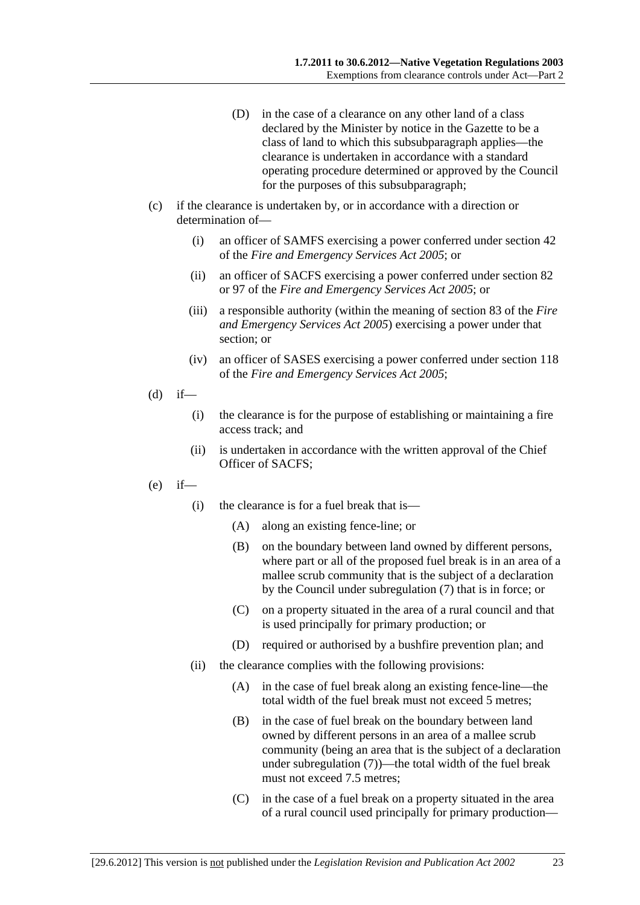- (D) in the case of a clearance on any other land of a class declared by the Minister by notice in the Gazette to be a class of land to which this subsubparagraph applies—the clearance is undertaken in accordance with a standard operating procedure determined or approved by the Council for the purposes of this subsubparagraph;
- (c) if the clearance is undertaken by, or in accordance with a direction or determination of—
	- (i) an officer of SAMFS exercising a power conferred under section 42 of the *Fire and Emergency Services Act 2005*; or
	- (ii) an officer of SACFS exercising a power conferred under section 82 or 97 of the *Fire and Emergency Services Act 2005*; or
	- (iii) a responsible authority (within the meaning of section 83 of the *Fire and Emergency Services Act 2005*) exercising a power under that section; or
	- (iv) an officer of SASES exercising a power conferred under section 118 of the *Fire and Emergency Services Act 2005*;
- $(d)$  if—
	- (i) the clearance is for the purpose of establishing or maintaining a fire access track; and
	- (ii) is undertaken in accordance with the written approval of the Chief Officer of SACFS;
- (e) if—
	- (i) the clearance is for a fuel break that is—
		- (A) along an existing fence-line; or
		- (B) on the boundary between land owned by different persons, where part or all of the proposed fuel break is in an area of a mallee scrub community that is the subject of a declaration by the Council under subregulation (7) that is in force; or
		- (C) on a property situated in the area of a rural council and that is used principally for primary production; or
		- (D) required or authorised by a bushfire prevention plan; and
	- (ii) the clearance complies with the following provisions:
		- (A) in the case of fuel break along an existing fence-line—the total width of the fuel break must not exceed 5 metres;
		- (B) in the case of fuel break on the boundary between land owned by different persons in an area of a mallee scrub community (being an area that is the subject of a declaration under subregulation (7))—the total width of the fuel break must not exceed 7.5 metres:
		- (C) in the case of a fuel break on a property situated in the area of a rural council used principally for primary production—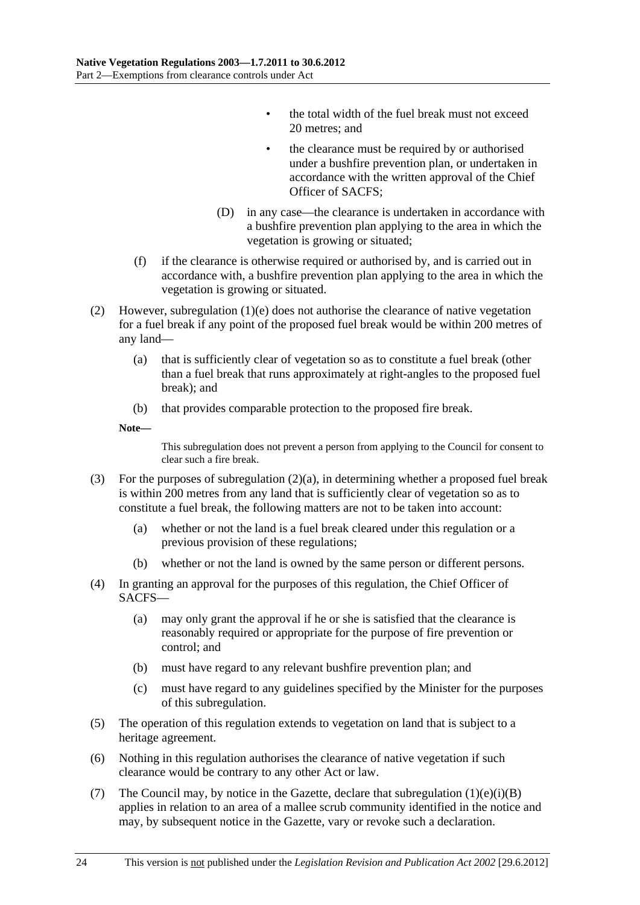- the total width of the fuel break must not exceed 20 metres; and
- the clearance must be required by or authorised under a bushfire prevention plan, or undertaken in accordance with the written approval of the Chief Officer of SACFS;
- (D) in any case—the clearance is undertaken in accordance with a bushfire prevention plan applying to the area in which the vegetation is growing or situated;
- (f) if the clearance is otherwise required or authorised by, and is carried out in accordance with, a bushfire prevention plan applying to the area in which the vegetation is growing or situated.
- (2) However, subregulation (1)(e) does not authorise the clearance of native vegetation for a fuel break if any point of the proposed fuel break would be within 200 metres of any land—
	- (a) that is sufficiently clear of vegetation so as to constitute a fuel break (other than a fuel break that runs approximately at right-angles to the proposed fuel break); and
	- (b) that provides comparable protection to the proposed fire break.

**Note—** 

This subregulation does not prevent a person from applying to the Council for consent to clear such a fire break.

- (3) For the purposes of subregulation (2)(a), in determining whether a proposed fuel break is within 200 metres from any land that is sufficiently clear of vegetation so as to constitute a fuel break, the following matters are not to be taken into account:
	- (a) whether or not the land is a fuel break cleared under this regulation or a previous provision of these regulations;
	- (b) whether or not the land is owned by the same person or different persons.
- (4) In granting an approval for the purposes of this regulation, the Chief Officer of SACFS—
	- (a) may only grant the approval if he or she is satisfied that the clearance is reasonably required or appropriate for the purpose of fire prevention or control; and
	- (b) must have regard to any relevant bushfire prevention plan; and
	- (c) must have regard to any guidelines specified by the Minister for the purposes of this subregulation.
- (5) The operation of this regulation extends to vegetation on land that is subject to a heritage agreement.
- (6) Nothing in this regulation authorises the clearance of native vegetation if such clearance would be contrary to any other Act or law.
- (7) The Council may, by notice in the Gazette, declare that subregulation  $(1)(e)(i)(B)$ applies in relation to an area of a mallee scrub community identified in the notice and may, by subsequent notice in the Gazette, vary or revoke such a declaration.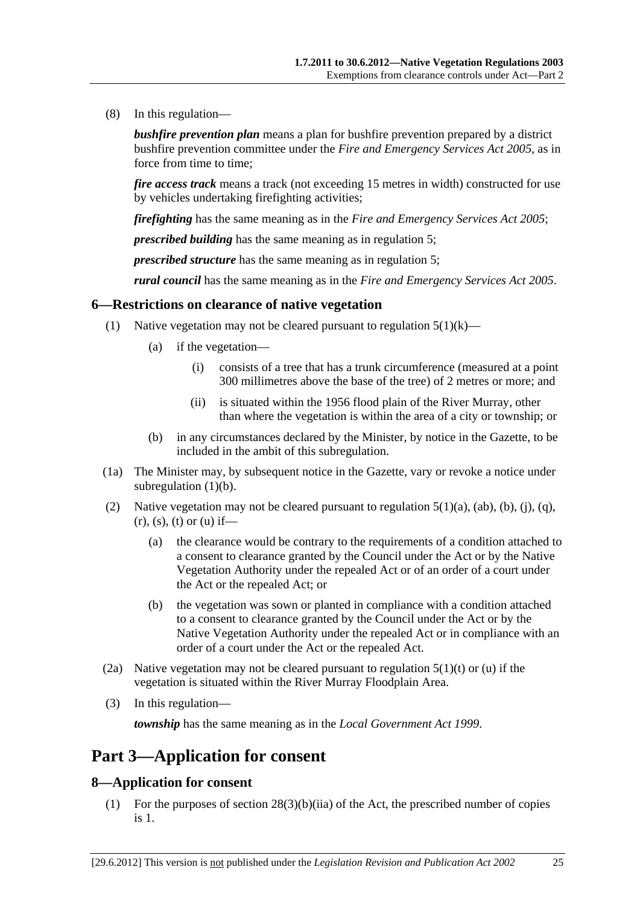<span id="page-24-0"></span>(8) In this regulation—

*bushfire prevention plan* means a plan for bushfire prevention prepared by a district bushfire prevention committee under the *Fire and Emergency Services Act 2005*, as in force from time to time;

*fire access track* means a track (not exceeding 15 metres in width) constructed for use by vehicles undertaking firefighting activities;

*firefighting* has the same meaning as in the *Fire and Emergency Services Act 2005*;

*prescribed building* has the same meaning as in regulation 5;

*prescribed structure* has the same meaning as in regulation 5;

*rural council* has the same meaning as in the *Fire and Emergency Services Act 2005*.

#### **6—Restrictions on clearance of native vegetation**

- (1) Native vegetation may not be cleared pursuant to regulation  $5(1)(k)$ 
	- (a) if the vegetation—
		- (i) consists of a tree that has a trunk circumference (measured at a point 300 millimetres above the base of the tree) of 2 metres or more; and
		- (ii) is situated within the 1956 flood plain of the River Murray, other than where the vegetation is within the area of a city or township; or
	- (b) in any circumstances declared by the Minister, by notice in the Gazette, to be included in the ambit of this subregulation.
- (1a) The Minister may, by subsequent notice in the Gazette, vary or revoke a notice under subregulation  $(1)(b)$ .
- (2) Native vegetation may not be cleared pursuant to regulation  $5(1)(a)$ ,  $(ab)$ ,  $(b)$ ,  $(i)$ ,  $(q)$ ,  $(r)$ ,  $(s)$ ,  $(t)$  or  $(u)$  if—
	- (a) the clearance would be contrary to the requirements of a condition attached to a consent to clearance granted by the Council under the Act or by the Native Vegetation Authority under the repealed Act or of an order of a court under the Act or the repealed Act; or
	- (b) the vegetation was sown or planted in compliance with a condition attached to a consent to clearance granted by the Council under the Act or by the Native Vegetation Authority under the repealed Act or in compliance with an order of a court under the Act or the repealed Act.
- (2a) Native vegetation may not be cleared pursuant to regulation  $5(1)(t)$  or (u) if the vegetation is situated within the River Murray Floodplain Area.
- (3) In this regulation—

*township* has the same meaning as in the *Local Government Act 1999*.

## **Part 3—Application for consent**

#### **8—Application for consent**

 (1) For the purposes of section 28(3)(b)(iia) of the Act, the prescribed number of copies is 1.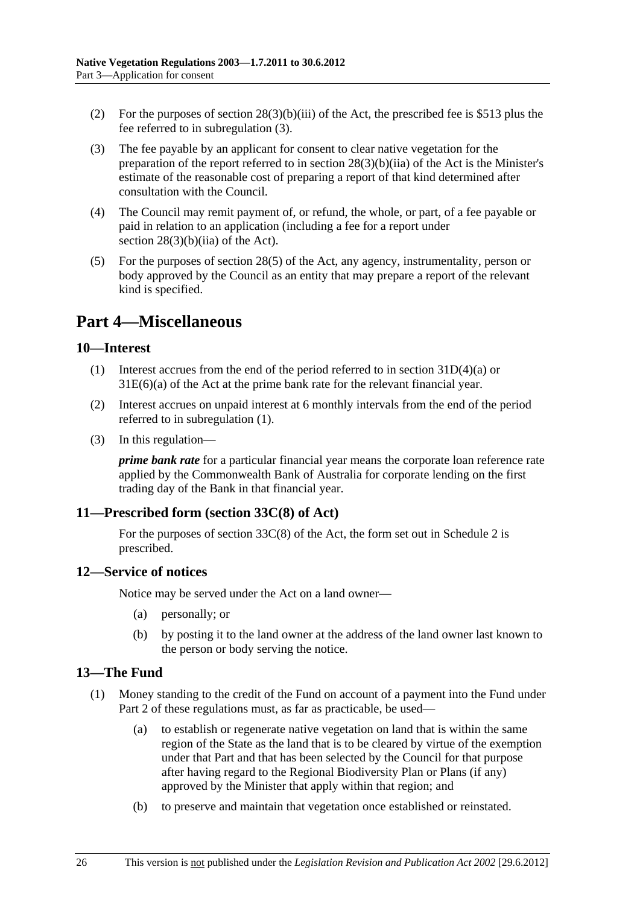- <span id="page-25-0"></span>(2) For the purposes of section  $28(3)(b)(iii)$  of the Act, the prescribed fee is \$513 plus the fee referred to in subregulation (3).
- (3) The fee payable by an applicant for consent to clear native vegetation for the preparation of the report referred to in section 28(3)(b)(iia) of the Act is the Minister's estimate of the reasonable cost of preparing a report of that kind determined after consultation with the Council.
- (4) The Council may remit payment of, or refund, the whole, or part, of a fee payable or paid in relation to an application (including a fee for a report under section  $28(3)(b)(ii)$  of the Act).
- (5) For the purposes of section 28(5) of the Act, any agency, instrumentality, person or body approved by the Council as an entity that may prepare a report of the relevant kind is specified.

## **Part 4—Miscellaneous**

#### **10—Interest**

- (1) Interest accrues from the end of the period referred to in section 31D(4)(a) or 31E(6)(a) of the Act at the prime bank rate for the relevant financial year.
- (2) Interest accrues on unpaid interest at 6 monthly intervals from the end of the period referred to in subregulation (1).
- (3) In this regulation—

*prime bank rate* for a particular financial year means the corporate loan reference rate applied by the Commonwealth Bank of Australia for corporate lending on the first trading day of the Bank in that financial year.

#### **11—Prescribed form (section 33C(8) of Act)**

For the purposes of section 33C(8) of the Act, the form set out in Schedule 2 is prescribed.

#### **12—Service of notices**

Notice may be served under the Act on a land owner—

- (a) personally; or
- (b) by posting it to the land owner at the address of the land owner last known to the person or body serving the notice.

#### **13—The Fund**

- (1) Money standing to the credit of the Fund on account of a payment into the Fund under Part 2 of these regulations must, as far as practicable, be used—
	- (a) to establish or regenerate native vegetation on land that is within the same region of the State as the land that is to be cleared by virtue of the exemption under that Part and that has been selected by the Council for that purpose after having regard to the Regional Biodiversity Plan or Plans (if any) approved by the Minister that apply within that region; and
	- (b) to preserve and maintain that vegetation once established or reinstated.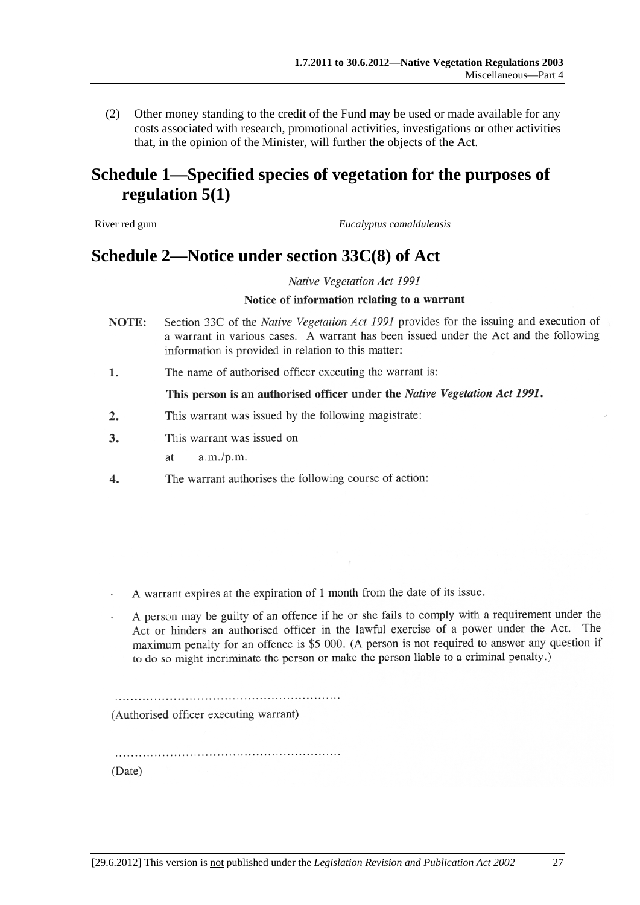(2) Other money standing to the credit of the Fund may be used or made available for any costs associated with research, promotional activities, investigations or other activities that, in the opinion of the Minister, will further the objects of the Act.

## **Schedule 1—Specified species of vegetation for the purposes of regulation 5(1)**

River red gum *Eucalyptus camaldulensis*

## **Schedule 2—Notice under section 33C(8) of Act**

Native Vegetation Act 1991

#### Notice of information relating to a warrant

- Section 33C of the Native Vegetation Act 1991 provides for the issuing and execution of NOTE: a warrant in various cases. A warrant has been issued under the Act and the following information is provided in relation to this matter:
- The name of authorised officer executing the warrant is: 1.

#### This person is an authorised officer under the Native Vegetation Act 1991.

- $\overline{2}$ . This warrant was issued by the following magistrate:
- 3. This warrant was issued on
	- $a.m./p.m.$  $a$ t
- The warrant authorises the following course of action:  $\overline{4}$ .

A warrant expires at the expiration of 1 month from the date of its issue.

A person may be guilty of an offence if he or she fails to comply with a requirement under the Act or hinders an authorised officer in the lawful exercise of a power under the Act. The maximum penalty for an offence is \$5 000. (A person is not required to answer any question if to do so might incriminate the person or make the person liable to a criminal penalty.)

(Authorised officer executing warrant)

(Date)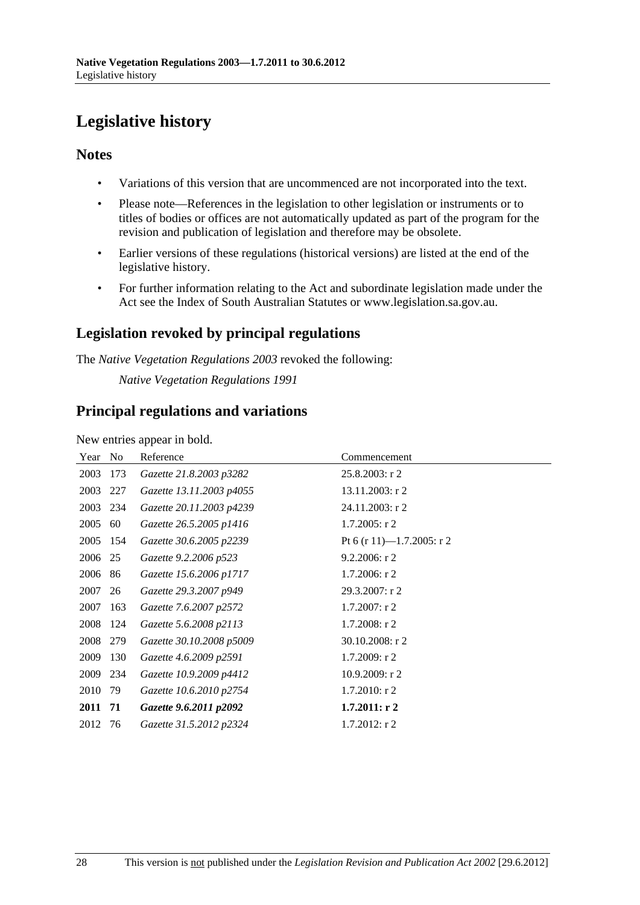# **Legislative history**

### **Notes**

- Variations of this version that are uncommenced are not incorporated into the text.
- Please note—References in the legislation to other legislation or instruments or to titles of bodies or offices are not automatically updated as part of the program for the revision and publication of legislation and therefore may be obsolete.
- Earlier versions of these regulations (historical versions) are listed at the end of the legislative history.
- For further information relating to the Act and subordinate legislation made under the Act see the Index of South Australian Statutes or www.legislation.sa.gov.au.

## **Legislation revoked by principal regulations**

The *Native Vegetation Regulations 2003* revoked the following:

*Native Vegetation Regulations 1991*

## **Principal regulations and variations**

New entries appear in bold.

| Year     | N <sub>0</sub> | Reference                | Commencement              |
|----------|----------------|--------------------------|---------------------------|
| 2003     | 173            | Gazette 21.8.2003 p3282  | $25.8.2003$ : r 2         |
| 2003     | 227            | Gazette 13.11.2003 p4055 | 13.11.2003: r 2           |
| 2003     | 234            | Gazette 20.11.2003 p4239 | 24.11.2003: r 2           |
| 2005     | 60             | Gazette 26.5.2005 p1416  | $1.7.2005:$ r 2           |
| 2005 154 |                | Gazette 30.6.2005 p2239  | Pt 6 (r 11)-1.7.2005: r 2 |
| 2006     | 25             | Gazette 9.2.2006 p523    | $9.2.2006$ : r 2          |
| 2006     | 86             | Gazette 15.6.2006 p1717  | $1.7.2006$ : r 2          |
| 2007     | 26             | Gazette 29.3.2007 p949   | 29.3.2007: r2             |
| 2007     | 163            | Gazette 7.6.2007 p2572   | $1.7.2007$ : r 2          |
| 2008     | 124            | Gazette 5.6.2008 p2113   | $1.7.2008$ : r 2          |
| 2008     | 279            | Gazette 30.10.2008 p5009 | $30.10.2008$ : r 2        |
| 2009     | 130            | Gazette 4.6.2009 p2591   | 1.7.2009: r2              |
| 2009     | 234            | Gazette 10.9.2009 p4412  | 10.9.2009: r2             |
| 2010     | 79             | Gazette 10.6.2010 p2754  | $1.7.2010$ : r 2          |
| 2011     | 71             | Gazette 9.6.2011 p2092   | $1.7.2011:$ r 2           |
| 2012     | 76             | Gazette 31.5.2012 p2324  | $1.7.2012$ : r 2          |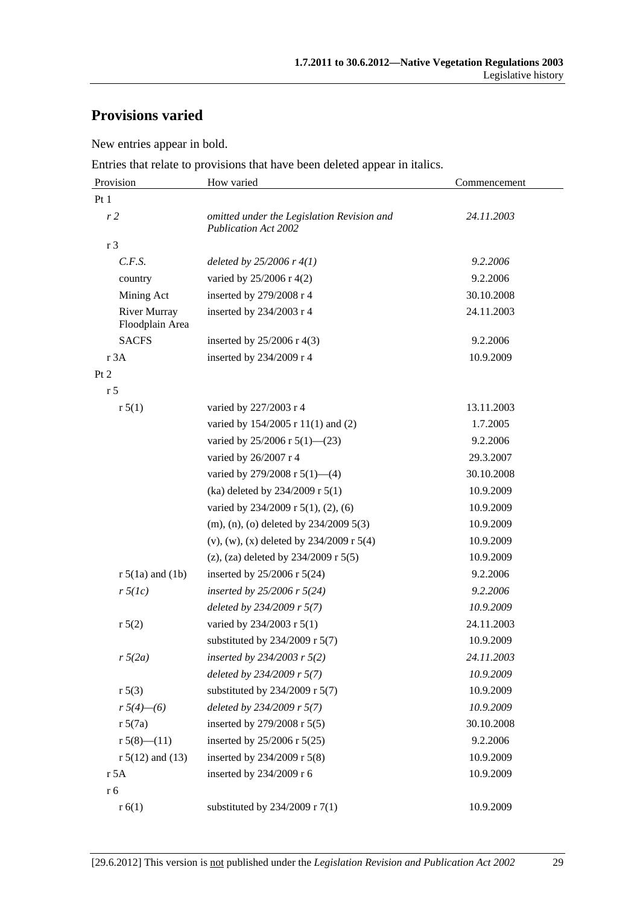## **Provisions varied**

New entries appear in bold.

Entries that relate to provisions that have been deleted appear in italics.

| Provision                              | How varied                                                                | Commencement |
|----------------------------------------|---------------------------------------------------------------------------|--------------|
| Pt 1                                   |                                                                           |              |
| r <sub>2</sub>                         | omitted under the Legislation Revision and<br><b>Publication Act 2002</b> | 24.11.2003   |
| r 3                                    |                                                                           |              |
| C.F.S.                                 | deleted by $25/2006$ r $4(1)$                                             | 9.2.2006     |
| country                                | varied by 25/2006 r 4(2)                                                  | 9.2.2006     |
| Mining Act                             | inserted by 279/2008 r 4                                                  | 30.10.2008   |
| <b>River Murray</b><br>Floodplain Area | inserted by 234/2003 r 4                                                  | 24.11.2003   |
| <b>SACFS</b>                           | inserted by $25/2006$ r 4(3)                                              | 9.2.2006     |
| r 3A                                   | inserted by 234/2009 r 4                                                  | 10.9.2009    |
| Pt 2                                   |                                                                           |              |
| r <sub>5</sub>                         |                                                                           |              |
| r 5(1)                                 | varied by 227/2003 r 4                                                    | 13.11.2003   |
|                                        | varied by 154/2005 r 11(1) and (2)                                        | 1.7.2005     |
|                                        | varied by 25/2006 r 5(1)–(23)                                             | 9.2.2006     |
|                                        | varied by 26/2007 r 4                                                     | 29.3.2007    |
|                                        | varied by $279/2008$ r $5(1)$ —(4)                                        | 30.10.2008   |
|                                        | (ka) deleted by 234/2009 r 5(1)                                           | 10.9.2009    |
|                                        | varied by $234/2009$ r $5(1)$ , $(2)$ , $(6)$                             | 10.9.2009    |
|                                        | $(m)$ , (n), (o) deleted by 234/2009 5(3)                                 | 10.9.2009    |
|                                        | (v), (w), (x) deleted by $234/2009$ r $5(4)$                              | 10.9.2009    |
|                                        | (z), (za) deleted by $234/2009$ r $5(5)$                                  | 10.9.2009    |
| $r 5(1a)$ and $(1b)$                   | inserted by 25/2006 r 5(24)                                               | 9.2.2006     |
| $r \, 5(lc)$                           | inserted by $25/2006$ r $5(24)$                                           | 9.2.2006     |
|                                        | deleted by 234/2009 r 5(7)                                                | 10.9.2009    |
| r 5(2)                                 | varied by 234/2003 r 5(1)                                                 | 24.11.2003   |
|                                        | substituted by $234/2009$ r 5(7)                                          | 10.9.2009    |
| $r\sqrt{5(2a)}$                        | inserted by 234/2003 r $5(2)$                                             | 24.11.2003   |
|                                        | deleted by 234/2009 r 5(7)                                                | 10.9.2009    |
| r 5(3)                                 | substituted by $234/2009$ r 5(7)                                          | 10.9.2009    |
| $r\sqrt{5(4)}$ - (6)                   | deleted by 234/2009 r 5(7)                                                | 10.9.2009    |
| r 5(7a)                                | inserted by 279/2008 r 5(5)                                               | 30.10.2008   |
| $r 5(8)$ - $(11)$                      | inserted by 25/2006 r 5(25)                                               | 9.2.2006     |
| $r 5(12)$ and (13)                     | inserted by 234/2009 r 5(8)                                               | 10.9.2009    |
| r 5A                                   | inserted by 234/2009 r 6                                                  | 10.9.2009    |
| r 6                                    |                                                                           |              |
| r(6(1))                                | substituted by $234/2009$ r $7(1)$                                        | 10.9.2009    |